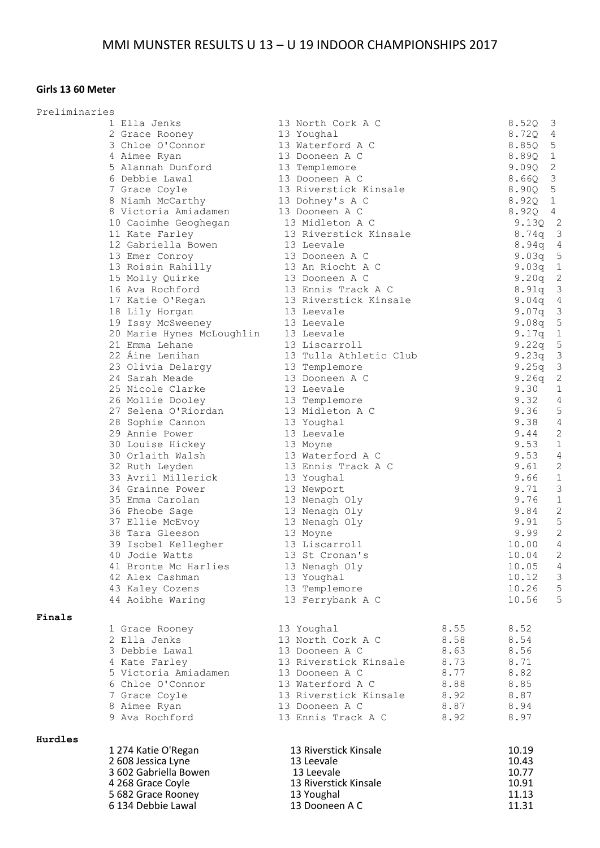## **Girls 13 60 Meter**

| Preliminaries |                                                                                                      |                                                |      |                              |
|---------------|------------------------------------------------------------------------------------------------------|------------------------------------------------|------|------------------------------|
|               | 1 Ella Jenks                                                                                         | 13 North Cork A C                              |      | $8.52Q$ 3                    |
|               | 2 Grace Rooney                                                                                       | 13 Youghal                                     |      | 8.72Q 4                      |
|               | 3 Chloe O'Connor                                                                                     | 13 Waterford A C                               |      | $8.85Q$ 5                    |
|               | 4 Aimee Ryan                                                                                         | 13 Dooneen A C                                 |      | 8.89Q 1                      |
|               | 5 Alannah Dunford 13 Templemore                                                                      |                                                |      | $9.09Q$ 2                    |
|               | 6 Debbie Lawal                                                                                       | 13 Dooneen A C<br>13 Riverstick Kinsale        |      | $8.66Q$ 3<br>8.90Q 5         |
|               | 7 Grace Coyle<br>8 Niamh McCarthy                                                                    | 13 Dohney's A C                                |      | 8.920 1                      |
|               | 8 Victoria Amiadamen                                                                                 | 13 Dooneen A C                                 |      | $8.92Q$ 4                    |
|               | 10 Caoimhe Geoghegan                                                                                 | 13 Midleton A C                                |      | $9.13Q$ 2                    |
|               | 11 Kate Farley                                                                                       | 13 Riverstick Kinsale                          |      | 8.74q 3                      |
|               | 12 Gabriella Bowen                                                                                   | 13 Leevale                                     |      | $\overline{4}$<br>8.94q      |
|               | 13 Emer Conroy                                                                                       |                                                |      | 9.03q 5                      |
|               |                                                                                                      | 13 Dooneen A C<br>13 An Riocht A C             |      | 9.03q 1                      |
|               | 13 Roisin Rahilly<br>15 Molly Quirke                                                                 | 13 Dooneen A C                                 |      | $9.20q$ 2                    |
|               | 16 Ava Rochford                                                                                      | 13 Ennis Track A C                             |      | 8.91q 3                      |
|               | 17 Katie O'Regan 13 Riverstick Kinsale                                                               |                                                |      | 9.04q 4                      |
|               | 18 Lily Horgan                                                                                       | 13 Leevale                                     |      | $9.07q$ 3                    |
|               | 19 Issy McSweeney 13 Leevale<br>20 Marie Hynes McLoughlin 13 Leevale<br>21 Emma Lehane 13 Liscarroll |                                                |      | 5<br>9.08q                   |
|               |                                                                                                      |                                                |      | $9.17q$ 1                    |
|               |                                                                                                      |                                                |      | $9.22q$ 5                    |
|               | 22 Áine Lenihan                                                                                      | 13 Tulla Athletic Club                         |      | $9.23q$ 3                    |
|               | 23 Olivia Delargy                                                                                    | 13 Templemore                                  |      | $9.25q$ 3                    |
|               | 24 Sarah Meade                                                                                       | 13 Dooneen A C                                 |      | $\overline{c}$<br>9.26q      |
|               | 25 Nicole Clarke                                                                                     | 13 Leevale<br>13 Templemore<br>13 Midleton A C |      | $\mathbf{1}$<br>9.30<br>9.32 |
|               | 26 Mollie Dooley<br>27 Selena O'Riordan                                                              |                                                |      | $\overline{4}$<br>5<br>9.36  |
|               | 28 Sophie Cannon                                                                                     | 13 Youghal                                     |      | $\overline{4}$<br>9.38       |
|               | 29 Annie Power                                                                                       | 13 Leevale                                     |      | $\overline{c}$<br>9.44       |
|               | 30 Louise Hickey                                                                                     | 13 Moyne                                       |      | $\mathbf{1}$<br>9.53         |
|               | 30 Orlaith Walsh                                                                                     | 13 Waterford A C                               |      | $\overline{4}$<br>9.53       |
|               | 32 Ruth Leyden                                                                                       | 13 Ennis Track A C                             |      | $\overline{c}$<br>9.61       |
|               | 33 Avril Millerick                                                                                   | 13 Youghal                                     |      | $\mathbf{1}$<br>9.66         |
|               | 34 Grainne Power                                                                                     | 13 Newport                                     |      | 3<br>9.71                    |
|               | 35 Emma Carolan                                                                                      | 13 Nenagh Oly                                  |      | 9.76<br>$\mathbf{1}$         |
|               | 36 Pheobe Sage                                                                                       | 13 Nenagh Oly                                  |      | $\overline{c}$<br>9.84       |
|               | 37 Ellie McEvoy                                                                                      |                                                |      | 5<br>9.91                    |
|               | 38 Tara Gleeson                                                                                      | 13 Nenagh Oly<br>13 Moyne<br>13 Liscarroll     |      | $\overline{c}$<br>9.99       |
|               | 39 Isobel Kellegher<br>40 Jodie Watts                                                                |                                                |      | $\overline{4}$<br>10.00      |
|               |                                                                                                      | 13 St Cronan's                                 |      | $\overline{c}$<br>10.04      |
|               | 41 Bronte Mc Harlies                                                                                 | 13 Nenagh Oly                                  |      | 10.05<br>$\overline{4}$      |
|               | 42 Alex Cashman                                                                                      | 13 Youghal                                     |      | 3<br>10.12                   |
|               | 43 Kaley Cozens                                                                                      | 13 Templemore                                  |      | 5<br>10.26                   |
|               | 44 Aoibhe Waring                                                                                     | 13 Ferrybank A C                               |      | 5<br>10.56                   |
| Finals        |                                                                                                      |                                                |      |                              |
|               | 1 Grace Rooney                                                                                       | 13 Youghal                                     | 8.55 | 8.52                         |
|               | 2 Ella Jenks                                                                                         | 13 North Cork A C                              | 8.58 | 8.54                         |
|               | 3 Debbie Lawal                                                                                       | 13 Dooneen A C                                 | 8.63 | 8.56                         |
|               | 4 Kate Farley                                                                                        | 13 Riverstick Kinsale                          | 8.73 | 8.71                         |
|               | 5 Victoria Amiadamen                                                                                 | 13 Dooneen A C                                 | 8.77 | 8.82                         |
|               | 6 Chloe O'Connor                                                                                     | 13 Waterford A C                               | 8.88 | 8.85                         |
|               | 7 Grace Coyle                                                                                        | 13 Riverstick Kinsale                          | 8.92 | 8.87                         |
|               | 8 Aimee Ryan                                                                                         | 13 Dooneen A C                                 | 8.87 | 8.94                         |
|               | 9 Ava Rochford                                                                                       | 13 Ennis Track A C                             | 8.92 | 8.97                         |
| Hurdles       |                                                                                                      |                                                |      |                              |
|               | 1274 Katie O'Regan                                                                                   | 13 Riverstick Kinsale                          |      | 10.19                        |
|               | 2 608 Jessica Lyne                                                                                   | 13 Leevale                                     |      | 10.43                        |
|               | 3 602 Gabriella Bowen                                                                                | 13 Leevale                                     |      | 10.77                        |
|               | 4 268 Grace Coyle                                                                                    | 13 Riverstick Kinsale                          |      | 10.91                        |
|               | 5 682 Grace Rooney                                                                                   | 13 Youghal                                     |      | 11.13                        |
|               | 6 134 Debbie Lawal                                                                                   | 13 Dooneen A C                                 |      | 11.31                        |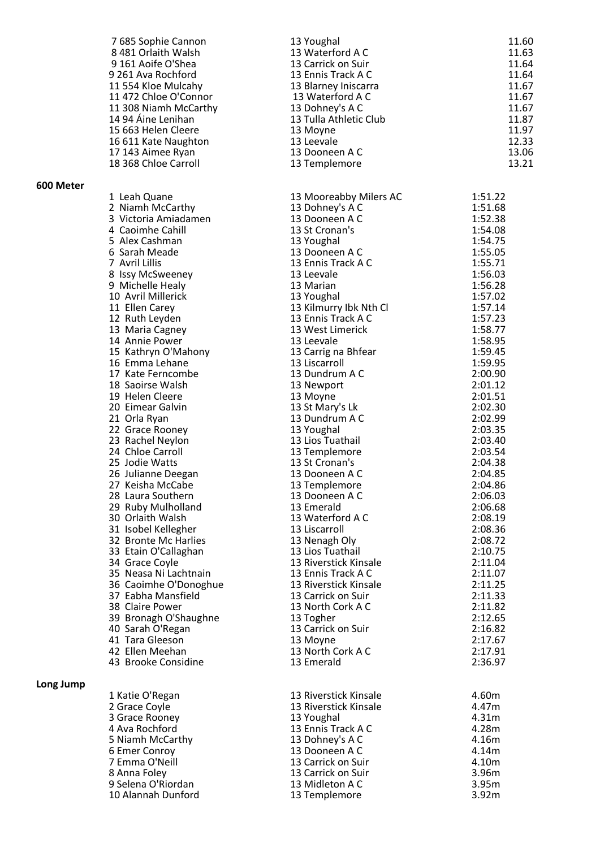|           | 7685 Sophie Cannon                   | 13 Youghal                      | 11.60              |
|-----------|--------------------------------------|---------------------------------|--------------------|
|           | 8 481 Orlaith Walsh                  | 13 Waterford A C                | 11.63              |
|           | 9 161 Aoife O'Shea                   | 13 Carrick on Suir              | 11.64              |
|           | 9 261 Ava Rochford                   | 13 Ennis Track A C              | 11.64              |
|           | 11 554 Kloe Mulcahy                  | 13 Blarney Iniscarra            | 11.67              |
|           | 11 472 Chloe O'Connor                | 13 Waterford A C                | 11.67              |
|           | 11 308 Niamh McCarthy                | 13 Dohney's A C                 | 11.67              |
|           | 14 94 Áine Lenihan                   | 13 Tulla Athletic Club          | 11.87              |
|           | 15 663 Helen Cleere                  | 13 Moyne                        | 11.97              |
|           | 16 611 Kate Naughton                 | 13 Leevale                      | 12.33              |
|           | 17 143 Aimee Ryan                    | 13 Dooneen A C                  | 13.06              |
|           | 18 368 Chloe Carroll                 | 13 Templemore                   | 13.21              |
| 600 Meter |                                      |                                 |                    |
|           | 1 Leah Quane                         | 13 Mooreabby Milers AC          | 1:51.22            |
|           | 2 Niamh McCarthy                     | 13 Dohney's A C                 | 1:51.68            |
|           | 3 Victoria Amiadamen                 | 13 Dooneen A C                  | 1:52.38            |
|           | 4 Caoimhe Cahill                     | 13 St Cronan's                  | 1:54.08            |
|           | 5 Alex Cashman                       | 13 Youghal                      | 1:54.75            |
|           | 6 Sarah Meade                        | 13 Dooneen A C                  | 1:55.05            |
|           | 7 Avril Lillis                       | 13 Ennis Track A C              | 1:55.71            |
|           | 8 Issy McSweeney                     | 13 Leevale                      | 1:56.03            |
|           | 9 Michelle Healy                     | 13 Marian                       | 1:56.28            |
|           | 10 Avril Millerick                   | 13 Youghal                      | 1:57.02            |
|           | 11 Ellen Carey                       | 13 Kilmurry Ibk Nth Cl          | 1:57.14            |
|           | 12 Ruth Leyden                       | 13 Ennis Track A C              | 1:57.23            |
|           | 13 Maria Cagney                      | 13 West Limerick                | 1:58.77            |
|           | 14 Annie Power                       | 13 Leevale                      | 1:58.95            |
|           | 15 Kathryn O'Mahony                  | 13 Carrig na Bhfear             | 1:59.45            |
|           | 16 Emma Lehane                       | 13 Liscarroll                   | 1:59.95            |
|           | 17 Kate Ferncombe                    | 13 Dundrum A C                  | 2:00.90            |
|           | 18 Saoirse Walsh                     | 13 Newport                      | 2:01.12            |
|           | 19 Helen Cleere                      | 13 Moyne                        | 2:01.51            |
|           | 20 Eimear Galvin                     | 13 St Mary's Lk                 | 2:02.30            |
|           | 21 Orla Ryan                         | 13 Dundrum A C                  | 2:02.99            |
|           | 22 Grace Rooney                      | 13 Youghal<br>13 Lios Tuathail  | 2:03.35            |
|           | 23 Rachel Neylon<br>24 Chloe Carroll |                                 | 2:03.40<br>2:03.54 |
|           | 25 Jodie Watts                       | 13 Templemore<br>13 St Cronan's | 2:04.38            |
|           | 26 Julianne Deegan                   | 13 Dooneen A C                  | 2:04.85            |
|           | 27 Keisha McCabe                     | 13 Templemore                   | 2:04.86            |
|           | 28 Laura Southern                    | 13 Dooneen A C                  | 2:06.03            |
|           | 29 Ruby Mulholland                   | 13 Emerald                      | 2:06.68            |
|           | 30 Orlaith Walsh                     | 13 Waterford A C                | 2:08.19            |
|           | 31 Isobel Kellegher                  | 13 Liscarroll                   | 2:08.36            |
|           | 32 Bronte Mc Harlies                 | 13 Nenagh Oly                   | 2:08.72            |
|           | 33 Etain O'Callaghan                 | 13 Lios Tuathail                | 2:10.75            |
|           | 34 Grace Coyle                       | 13 Riverstick Kinsale           | 2:11.04            |
|           | 35 Neasa Ni Lachtnain                | 13 Ennis Track A C              | 2:11.07            |
|           | 36 Caoimhe O'Donoghue                | 13 Riverstick Kinsale           | 2:11.25            |
|           | 37 Eabha Mansfield                   | 13 Carrick on Suir              | 2:11.33            |
|           | 38 Claire Power                      | 13 North Cork A C               | 2:11.82            |
|           | 39 Bronagh O'Shaughne                | 13 Togher                       | 2:12.65            |
|           | 40 Sarah O'Regan                     | 13 Carrick on Suir              | 2:16.82            |
|           | 41 Tara Gleeson                      | 13 Moyne                        | 2:17.67            |
|           | 42 Ellen Meehan                      | 13 North Cork A C               | 2:17.91            |
|           | 43 Brooke Considine                  | 13 Emerald                      | 2:36.97            |
| Long Jump |                                      |                                 |                    |
|           | 1 Katie O'Regan                      | 13 Riverstick Kinsale           | 4.60m              |
|           | 2 Grace Coyle                        | 13 Riverstick Kinsale           | 4.47m              |
|           | 3 Grace Rooney                       | 13 Youghal                      | 4.31m              |
|           | 4 Ava Rochford                       | 13 Ennis Track A C              | 4.28m              |
|           | 5 Niamh McCarthy                     | 13 Dohney's A C                 | 4.16m              |
|           | 6 Emer Conroy                        | 13 Dooneen A C                  | 4.14m              |
|           | 7 Emma O'Neill                       | 13 Carrick on Suir              | 4.10m              |
|           | 8 Anna Foley                         | 13 Carrick on Suir              | 3.96m              |
|           | 9 Selena O'Riordan                   | 13 Midleton A C                 | 3.95m              |
|           | 10 Alannah Dunford                   | 13 Templemore                   | 3.92m              |
|           |                                      |                                 |                    |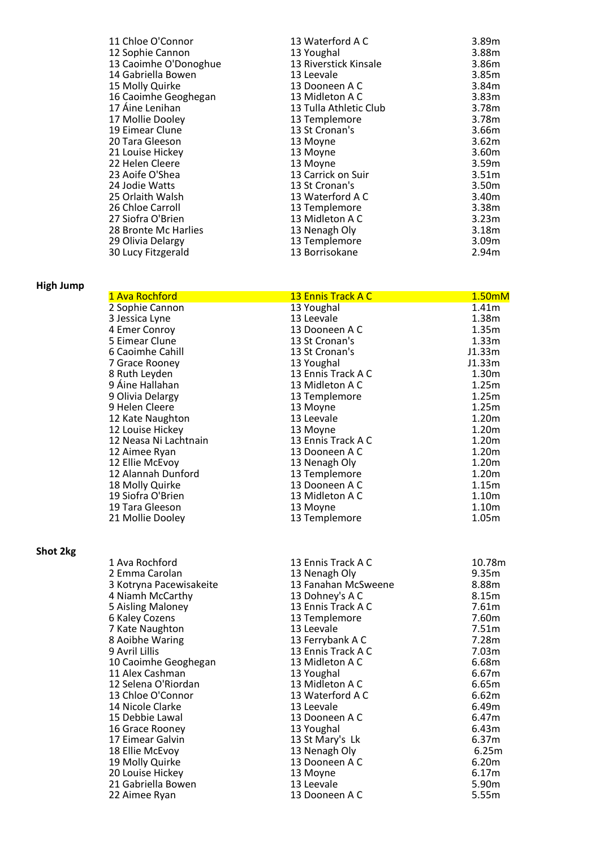| 11 Chloe O'Connor     | 13 Waterford A C       | 3.89m             |
|-----------------------|------------------------|-------------------|
| 12 Sophie Cannon      | 13 Youghal             | 3.88m             |
| 13 Caoimhe O'Donoghue | 13 Riverstick Kinsale  | 3.86m             |
| 14 Gabriella Bowen    | 13 Leevale             | 3.85m             |
| 15 Molly Quirke       | 13 Dooneen A C         | 3.84m             |
| 16 Caoimhe Geoghegan  | 13 Midleton A C        | 3.83m             |
| 17 Áine Lenihan       | 13 Tulla Athletic Club | 3.78m             |
| 17 Mollie Dooley      | 13 Templemore          | 3.78m             |
| 19 Eimear Clune       | 13 St Cronan's         | 3.66m             |
| 20 Tara Gleeson       | 13 Moyne               | 3.62m             |
| 21 Louise Hickey      | 13 Moyne               | 3.60m             |
| 22 Helen Cleere       | 13 Moyne               | 3.59m             |
| 23 Aoife O'Shea       | 13 Carrick on Suir     | 3.51 <sub>m</sub> |
| 24 Jodie Watts        | 13 St Cronan's         | 3.50m             |
| 25 Orlaith Walsh      | 13 Waterford A C       | 3.40m             |
| 26 Chloe Carroll      | 13 Templemore          | 3.38m             |
| 27 Siofra O'Brien     | 13 Midleton A C        | 3.23m             |
| 28 Bronte Mc Harlies  | 13 Nenagh Oly          | 3.18m             |
| 29 Olivia Delargy     | 13 Templemore          | 3.09 <sub>m</sub> |
| 30 Lucy Fitzgerald    | 13 Borrisokane         | 2.94m             |
|                       |                        |                   |

## **High Jump**

**Shot 2kg**

|                 | 1 Ava Rochford          | 13 Ennis Track A C  | 1.50mM            |
|-----------------|-------------------------|---------------------|-------------------|
|                 | 2 Sophie Cannon         | 13 Youghal          | 1.41 <sub>m</sub> |
|                 | 3 Jessica Lyne          | 13 Leevale          | 1.38m             |
|                 | 4 Emer Conroy           | 13 Dooneen A C      | 1.35m             |
|                 | 5 Eimear Clune          | 13 St Cronan's      | 1.33m             |
|                 | 6 Caoimhe Cahill        | 13 St Cronan's      | J1.33m            |
|                 | 7 Grace Rooney          | 13 Youghal          | J1.33m            |
|                 | 8 Ruth Leyden           | 13 Ennis Track A C  | 1.30m             |
|                 | 9 Áine Hallahan         | 13 Midleton A C     | 1.25m             |
|                 | 9 Olivia Delargy        | 13 Templemore       | 1.25m             |
|                 | 9 Helen Cleere          | 13 Moyne            | 1.25m             |
|                 | 12 Kate Naughton        | 13 Leevale          | 1.20 <sub>m</sub> |
|                 | 12 Louise Hickey        | 13 Moyne            | 1.20m             |
|                 | 12 Neasa Ni Lachtnain   | 13 Ennis Track A C  | 1.20m             |
|                 | 12 Aimee Ryan           | 13 Dooneen A C      | 1.20m             |
|                 | 12 Ellie McEvoy         | 13 Nenagh Oly       | 1.20m             |
|                 | 12 Alannah Dunford      | 13 Templemore       | 1.20m             |
|                 | 18 Molly Quirke         | 13 Dooneen A C      | 1.15m             |
|                 | 19 Siofra O'Brien       | 13 Midleton A C     | 1.10m             |
|                 | 19 Tara Gleeson         | 13 Moyne            | 1.10m             |
|                 | 21 Mollie Dooley        | 13 Templemore       | 1.05m             |
| <b>Shot 2kg</b> |                         |                     |                   |
|                 | 1 Ava Rochford          | 13 Ennis Track A C  | 10.78m            |
|                 | 2 Emma Carolan          | 13 Nenagh Oly       | 9.35m             |
|                 | 3 Kotryna Pacewisakeite | 13 Fanahan McSweene | 8.88m             |
|                 | 4 Niamh McCarthy        | 13 Dohney's A C     | 8.15m             |
|                 | 5 Aisling Maloney       | 13 Ennis Track A C  | 7.61m             |
|                 | 6 Kaley Cozens          | 13 Templemore       | 7.60m             |
|                 | 7 Kate Naughton         | 13 Leevale          | 7.51m             |
|                 | 8 Aoibhe Waring         | 13 Ferrybank A C    | 7.28m             |
|                 | 9 Avril Lillis          | 13 Ennis Track A C  | 7.03m             |
|                 | 10 Caoimhe Geoghegan    | 13 Midleton A C     | 6.68m             |
|                 | 11 Alex Cashman         | 13 Youghal          | 6.67m             |
|                 | 12 Selena O'Riordan     | 13 Midleton A C     | 6.65m             |
|                 | 13 Chloe O'Connor       | 13 Waterford A C    | 6.62m             |
|                 | 14 Nicole Clarke        | 13 Leevale          | 6.49m             |
|                 | 15 Debbie Lawal         | 13 Dooneen A C      | 6.47m             |
|                 | 16 Grace Rooney         | 13 Youghal          | 6.43m             |
|                 | 17 Eimear Galvin        | 13 St Mary's Lk     | 6.37m             |
|                 | 18 Ellie McEvoy         | 13 Nenagh Oly       | 6.25m             |
|                 |                         |                     |                   |

19 Molly Quirke **13 Dooneen A C** 6.20m 20 Louise Hickey **13 Moyne 13 Moyne** 6.17m 21 Gabriella Bowen **13 Leevale 13 Leevale 13 Leevale 13 Leevale** 22 Aimee Ryan 13 Dooneen A C 5.55m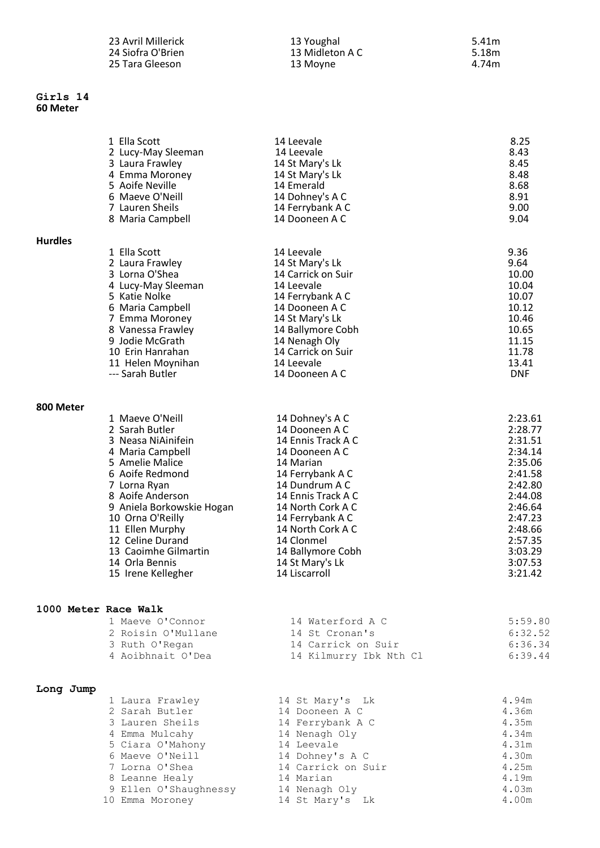| 23 Avril Millerick |
|--------------------|
| 24 Siofra O'Brien  |
| 25 Tara Gleeson    |

#### **Girls 14 60 Meter**

**Hurdles** 

| 23 Avril Millerick | 13 Youghal      | 5.41m |
|--------------------|-----------------|-------|
| 24 Siofra O'Brien  | 13 Midleton A C | 5.18m |
| 25 Tara Gleeson    | 13 Moyne        | 4.74m |

|       | 1 Ella Scott       | 14 Leevale         | 8.25  |
|-------|--------------------|--------------------|-------|
|       | 2 Lucy-May Sleeman | 14 Leevale         | 8.43  |
|       | 3 Laura Frawley    | 14 St Mary's Lk    | 8.45  |
|       | 4 Emma Moroney     | 14 St Mary's Lk    | 8.48  |
|       | 5 Aoife Neville    | 14 Emerald         | 8.68  |
|       | 6 Maeve O'Neill    | 14 Dohney's A C    | 8.91  |
|       | 7 Lauren Sheils    | 14 Ferrybank A C   | 9.00  |
|       | 8 Maria Campbell   | 14 Dooneen A C     | 9.04  |
| rdles |                    |                    |       |
|       | 1 Ella Scott       | 14 Leevale         | 9.36  |
|       | 2 Laura Frawley    | 14 St Mary's Lk    | 9.64  |
|       | 3 Lorna O'Shea     | 14 Carrick on Suir | 10.00 |
|       | 4 Lucy-May Sleeman | 14 Leevale         | 10.04 |
|       | 5 Katie Nolke      | 14 Ferrybank A C   | 10.07 |
|       | 6 Maria Campbell   | 14 Dooneen A C     | 10.12 |
|       | 7 Emma Moroney     | 14 St Mary's Lk    | 10.46 |
|       | 8 Vanessa Frawley  | 14 Ballymore Cobh  | 10.65 |
|       | 9 Jodie McGrath    | 14 Nenagh Oly      | 11.15 |
|       | 10 Erin Hanrahan   | 14 Carrick on Suir | 11.78 |
|       |                    |                    |       |

#### **800 Meter**

| 1 Maeve O'Neill           | 14 Dohney's A C    | 2:23.61 |
|---------------------------|--------------------|---------|
| 2 Sarah Butler            | 14 Dooneen A C     | 2:28.77 |
| 3 Neasa NiAinifein        | 14 Ennis Track A C | 2:31.51 |
| 4 Maria Campbell          | 14 Dooneen A C     | 2:34.14 |
| 5 Amelie Malice           | 14 Marian          | 2:35.06 |
| 6 Aoife Redmond           | 14 Ferrybank A C   | 2:41.58 |
| 7 Lorna Ryan              | 14 Dundrum A C     | 2:42.80 |
| 8 Aoife Anderson          | 14 Ennis Track A C | 2:44.08 |
| 9 Aniela Borkowskie Hogan | 14 North Cork A C  | 2:46.64 |
| 10 Orna O'Reilly          | 14 Ferrybank A C   | 2:47.23 |
| 11 Ellen Murphy           | 14 North Cork A C  | 2:48.66 |
| 12 Celine Durand          | 14 Clonmel         | 2:57.35 |
| 13 Caoimhe Gilmartin      | 14 Ballymore Cobh  | 3:03.29 |
| 14 Orla Bennis            | 14 St Mary's Lk    | 3:07.53 |
| 15 Irene Kellegher        | 14 Liscarroll      | 3:21.42 |
|                           |                    |         |

11 Helen Moynihan 14 Leevale 13.41 --- Sarah Butler **14 Dooneen A C** DNF

#### **1000 Meter Race Walk**

| 1 Maeve O'Connor   | 14 Waterford A C       | 5:59.80 |
|--------------------|------------------------|---------|
| 2 Roisin O'Mullane | 14 St Cronan's         | 6:32.52 |
| 3 Ruth O'Regan     | 14 Carrick on Suir     | 6:36.34 |
| 4 Aoibhnait O'Dea  | 14 Kilmurry Ibk Nth Cl | 6:39.44 |

### **Long Jump**

| 1 Laura Frawley       | 14 St Mary's Lk    | 4.94m |
|-----------------------|--------------------|-------|
| 2 Sarah Butler        | 14 Dooneen A C     | 4.36m |
| 3 Lauren Sheils       | 14 Ferrybank A C   | 4.35m |
| 4 Emma Mulcahy        | 14 Nenagh Oly      | 4.34m |
| 5 Ciara O'Mahony      | 14 Leevale         | 4.31m |
| 6 Maeve O'Neill       | 14 Dohney's A C    | 4.30m |
| 7 Lorna O'Shea        | 14 Carrick on Suir | 4.25m |
| 8 Leanne Healy        | 14 Marian          | 4.19m |
| 9 Ellen O'Shaughnessy | 14 Nenagh Oly      | 4.03m |
| 10 Emma Moroney       | 14 St Mary's Lk    | 4.00m |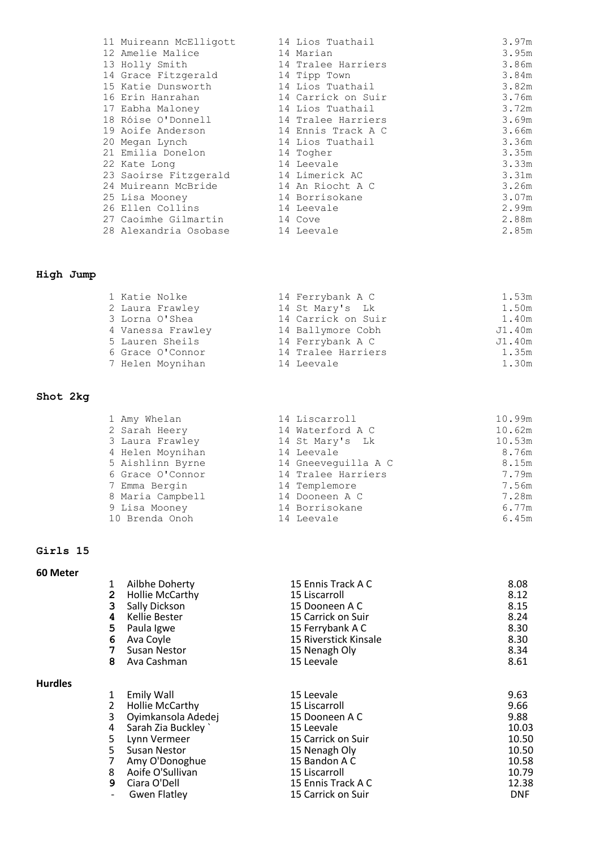|  | 11 Muireann McElligott               | 14 Lios Tuathail   | 3.97m |
|--|--------------------------------------|--------------------|-------|
|  | 12 Amelie Malice                     | 14 Marian          | 3.95m |
|  | 13 Holly Smith                       | 14 Tralee Harriers | 3.86m |
|  | 14 Grace Fitzgerald                  | 14 Tipp Town       | 3.84m |
|  | 15 Katie Dunsworth                   | 14 Lios Tuathail   | 3.82m |
|  | 16 Erin Hanrahan                     | 14 Carrick on Suir | 3.76m |
|  | 17 Eabha Maloney                     | 14 Lios Tuathail   | 3.72m |
|  | 18 Róise O'Donnell                   | 14 Tralee Harriers | 3.69m |
|  | 19 Aoife Anderson                    | 14 Ennis Track A C | 3.66m |
|  | 20 Megan Lynch                       | 14 Lios Tuathail   | 3.36m |
|  | 21 Emilia Donelon                    | 14 Togher          | 3.35m |
|  | 22 Kate Long                         | 14 Leevale         | 3.33m |
|  | 23 Saoirse Fitzgerald 14 Limerick AC |                    | 3.31m |
|  | 24 Muireann McBride                  | 14 An Riocht A C   | 3.26m |
|  | 25 Lisa Mooney                       | 14 Borrisokane     | 3.07m |
|  | 26 Ellen Collins                     | 14 Leevale         | 2.99m |
|  | 27 Caoimhe Gilmartin                 | 14 Cove            | 2.88m |
|  | 28 Alexandria Osobase                | 14 Leevale         | 2.85m |
|  |                                      |                    |       |

## **High Jump**

| 1 Katie Nolke     | 14 Ferrybank A C   | 1.53m  |
|-------------------|--------------------|--------|
| 2 Laura Frawley   | 14 St Mary's Lk    | 1.50m  |
| 3 Lorna O'Shea    | 14 Carrick on Suir | 1.40m  |
| 4 Vanessa Frawley | 14 Ballymore Cobh  | J1.40m |
| 5 Lauren Sheils   | 14 Ferrybank A C   | J1.40m |
| 6 Grace O'Connor  | 14 Tralee Harriers | 1.35m  |
| 7 Helen Moynihan  | 14 Leevale         | 1.30m  |

## **Shot 2kg**

| 1 Amy Whelan     | 14 Liscarroll       | 10.99m |
|------------------|---------------------|--------|
| 2 Sarah Heery    | 14 Waterford A C    | 10.62m |
| 3 Laura Frawley  | 14 St Mary's Lk     | 10.53m |
| 4 Helen Moynihan | 14 Leevale          | 8.76m  |
| 5 Aishlinn Byrne | 14 Gneeveguilla A C | 8.15m  |
| 6 Grace O'Connor | 14 Tralee Harriers  | 7.79m  |
| 7 Emma Bergin    | 14 Templemore       | 7.56m  |
| 8 Maria Campbell | 14 Dooneen A C      | 7.28m  |
| 9 Lisa Mooney    | 14 Borrisokane      | 6.77m  |
| 10 Brenda Onoh   | 14 Leevale          | 6.45m  |

# **Girls 15**

**60 Meter** 

**Hurdles** 

|                           | Ailbhe Doherty         | 15 Ennis Track A C    | 8.08 |
|---------------------------|------------------------|-----------------------|------|
| $\mathbf{2}^{\mathsf{I}}$ | <b>Hollie McCarthy</b> | 15 Liscarroll         | 8.12 |
| 3                         | Sally Dickson          | 15 Dooneen A C        | 8.15 |
| 4                         | Kellie Bester          | 15 Carrick on Suir    | 8.24 |
| 5.                        | Paula Igwe             | 15 Ferrybank A C      | 8.30 |
| 6                         | Ava Coyle              | 15 Riverstick Kinsale | 8.30 |
|                           | Susan Nestor           | 15 Nenagh Oly         | 8.34 |
| 8                         | Ava Cashman            | 15 Leevale            | 8.61 |
|                           | Emily Wall             | 15 Leevale            | 9.63 |
|                           | <b>Hollie McCarthy</b> | 15 Liscarroll         | 9.66 |

| 1 Emily Wall         | <b>TP FEEASIE</b>  | 9.03       |
|----------------------|--------------------|------------|
| 2 Hollie McCarthy    | 15 Liscarroll      | 9.66       |
| 3 Oyimkansola Adedej | 15 Dooneen A C     | 9.88       |
| 4 Sarah Zia Buckley  | 15 Leevale         | 10.03      |
| 5 Lynn Vermeer       | 15 Carrick on Suir | 10.50      |
| 5 Susan Nestor       | 15 Nenagh Oly      | 10.50      |
| 7 Amy O'Donoghue     | 15 Bandon A C      | 10.58      |
| 8 Aoife O'Sullivan   | 15 Liscarroll      | 10.79      |
| 9 Ciara O'Dell       | 15 Ennis Track A C | 12.38      |
| - Gwen Flatley       | 15 Carrick on Suir | <b>DNF</b> |
|                      |                    |            |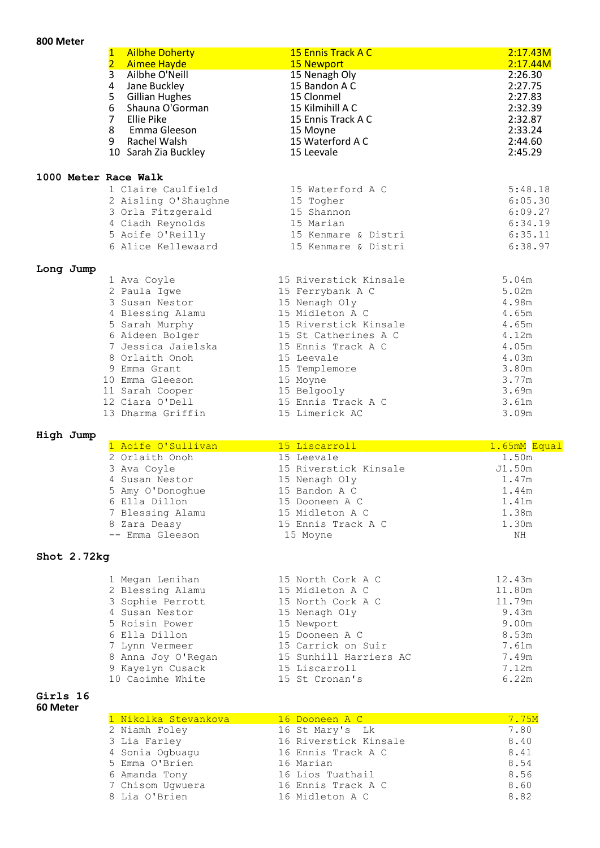# **800 Meter**

|                      | <b>Ailbhe Doherty</b><br>1                                  | 15 Ennis Track A C                 | 2:17.43M            |
|----------------------|-------------------------------------------------------------|------------------------------------|---------------------|
|                      | $\overline{2}$<br><b>Aimee Hayde</b><br>3<br>Ailbhe O'Neill | <b>15 Newport</b><br>15 Nenagh Oly | 2:17.44M<br>2:26.30 |
|                      | 4<br>Jane Buckley                                           | 15 Bandon A C                      | 2:27.75             |
|                      | 5<br><b>Gillian Hughes</b>                                  | 15 Clonmel                         | 2:27.83             |
|                      | 6<br>Shauna O'Gorman                                        | 15 Kilmihill A C                   | 2:32.39             |
|                      | 7<br>Ellie Pike                                             | 15 Ennis Track A C                 | 2:32.87             |
|                      | 8<br>Emma Gleeson                                           | 15 Moyne                           | 2:33.24             |
|                      | 9<br>Rachel Walsh                                           | 15 Waterford A C                   | 2:44.60             |
|                      | 10 Sarah Zia Buckley                                        | 15 Leevale                         | 2:45.29             |
| 1000 Meter Race Walk |                                                             |                                    |                     |
|                      | 1 Claire Caulfield                                          | 15 Waterford A C                   | 5:48.18             |
|                      | 2 Aisling O'Shaughne                                        | 15 Togher                          | 6:05.30             |
|                      | 3 Orla Fitzgerald                                           | 15 Shannon                         | 6:09.27             |
|                      | 4 Ciadh Reynolds                                            | 15 Marian                          | 6:34.19             |
|                      | 5 Aoife O'Reilly                                            | 15 Kenmare & Distri                | 6:35.11             |
|                      | 6 Alice Kellewaard                                          | 15 Kenmare & Distri                | 6:38.97             |
| Long Jump            |                                                             |                                    |                     |
|                      | 1 Ava Coyle                                                 | 15 Riverstick Kinsale              | 5.04m               |
|                      | 2 Paula Igwe                                                | 15 Ferrybank A C                   | 5.02m               |
|                      | 3 Susan Nestor                                              | 15 Nenagh Oly                      | 4.98m               |
|                      | 4 Blessing Alamu                                            | 15 Midleton A C                    | 4.65m               |
|                      | 5 Sarah Murphy                                              | 15 Riverstick Kinsale              | 4.65m               |
|                      | 6 Aideen Bolger                                             | 15 St Catherines A C               | 4.12m               |
|                      | 7 Jessica Jaielska                                          | 15 Ennis Track A C                 | 4.05m               |
|                      | 8 Orlaith Onoh<br>9 Emma Grant                              | 15 Leevale                         | 4.03m<br>3.80m      |
|                      | 10 Emma Gleeson                                             | 15 Templemore<br>15 Moyne          | 3.77m               |
|                      | 11 Sarah Cooper                                             | 15 Belgooly                        | 3.69m               |
|                      | 12 Ciara O'Dell                                             | 15 Ennis Track A C                 | 3.61m               |
|                      | 13 Dharma Griffin                                           | 15 Limerick AC                     | 3.09m               |
|                      |                                                             |                                    |                     |

# **High Jump**

| 1 Aoife O'Sullivan | 15 Liscarroll         | 1.65mM Equal |
|--------------------|-----------------------|--------------|
| 2 Orlaith Onoh     | 15 Leevale            | 1.50m        |
| 3 Ava Coyle        | 15 Riverstick Kinsale | J1.50m       |
| 4 Susan Nestor     | 15 Nenagh Oly         | 1.47m        |
| 5 Amy O'Donoghue   | 15 Bandon A C         | 1.44m        |
| 6 Ella Dillon      | 15 Dooneen A C        | 1.41m        |
| 7 Blessing Alamu   | 15 Midleton A C       | 1.38m        |
| 8 Zara Deasy       | 15 Ennis Track A C    | 1.30m        |
| -- Emma Gleeson    | 15 Moyne              | NH           |
|                    |                       |              |

## **Shot 2.72kg**

| 1 Megan Lenihan    | 15 North Cork A C      | 12.43m |
|--------------------|------------------------|--------|
| 2 Blessing Alamu   | 15 Midleton A C        | 11.80m |
| 3 Sophie Perrott   | 15 North Cork A C      | 11.79m |
| 4 Susan Nestor     | 15 Nenagh Oly          | 9.43m  |
| 5 Roisin Power     | 15 Newport             | 9.00m  |
| 6 Ella Dillon      | 15 Dooneen A C         | 8.53m  |
| 7 Lynn Vermeer     | 15 Carrick on Suir     | 7.61m  |
| 8 Anna Joy O'Regan | 15 Sunhill Harriers AC | 7.49m  |
| 9 Kayelyn Cusack   | 15 Liscarroll          | 7.12m  |
| 10 Caoimhe White   | 15 St Cronan's         | 6.22m  |
|                    |                        |        |

#### **Girls 16 60 Meter**

| 1 Nikolka Stevankova | 16 Dooneen A C        | 7.75M |
|----------------------|-----------------------|-------|
| 2 Niamh Foley        | 16 St Mary's Lk       | 7.80  |
| 3 Lia Farley         | 16 Riverstick Kinsale | 8.40  |
| 4 Sonia Ogbuagu      | 16 Ennis Track A C    | 8.41  |
| 5 Emma O'Brien       | 16 Marian             | 8.54  |
| 6 Amanda Tony        | 16 Lios Tuathail      | 8.56  |
| 7 Chisom Ugwuera     | 16 Ennis Track A C    | 8.60  |
| 8 Lia O'Brien        | 16 Midleton A C       | 8.82  |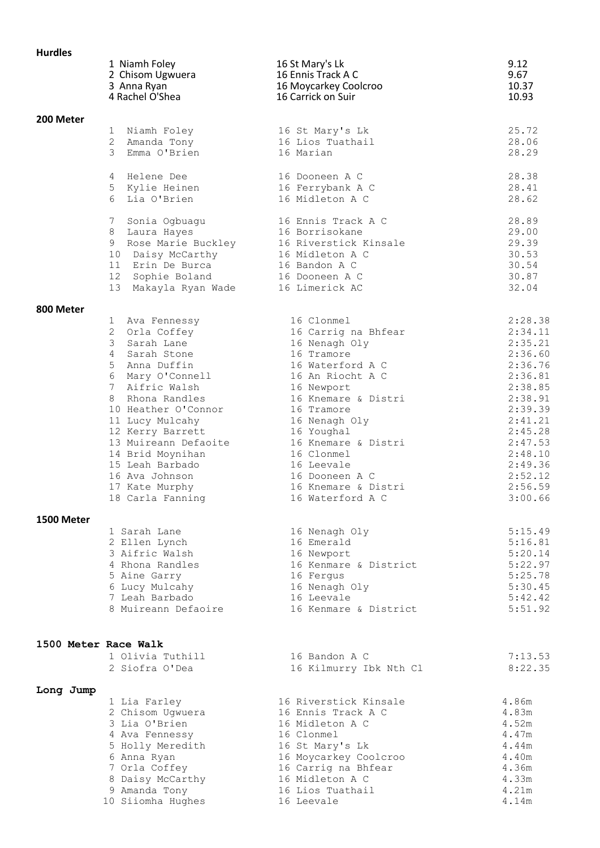| <b>Hurdles</b>       |                                                                                                                                                                                                                                                                                                                                                                                                                                                                 |                                                                                                                                                                                                                                                                                                                                                                                                                |                                                                                                                                                                                                                                                           |
|----------------------|-----------------------------------------------------------------------------------------------------------------------------------------------------------------------------------------------------------------------------------------------------------------------------------------------------------------------------------------------------------------------------------------------------------------------------------------------------------------|----------------------------------------------------------------------------------------------------------------------------------------------------------------------------------------------------------------------------------------------------------------------------------------------------------------------------------------------------------------------------------------------------------------|-----------------------------------------------------------------------------------------------------------------------------------------------------------------------------------------------------------------------------------------------------------|
|                      | 1 Niamh Foley<br>2 Chisom Ugwuera<br>3 Anna Ryan<br>4 Rachel O'Shea                                                                                                                                                                                                                                                                                                                                                                                             | 16 St Mary's Lk<br>16 Ennis Track A C<br>16 Moycarkey Coolcroo<br>16 Carrick on Suir                                                                                                                                                                                                                                                                                                                           | 9.12<br>9.67<br>10.37<br>10.93                                                                                                                                                                                                                            |
| 200 Meter            |                                                                                                                                                                                                                                                                                                                                                                                                                                                                 |                                                                                                                                                                                                                                                                                                                                                                                                                |                                                                                                                                                                                                                                                           |
|                      | 1 Niamh Foley<br>2 Amanda Tony<br>$\mathcal{B}$<br>Emma O'Brien                                                                                                                                                                                                                                                                                                                                                                                                 | 16 St Mary's Lk<br>16 Lios Tuathail<br>16 Marian                                                                                                                                                                                                                                                                                                                                                               | 25.72<br>28.06<br>28.29                                                                                                                                                                                                                                   |
|                      | 4 Helene Dee<br>5 Kylie Heinen<br>6<br>Lia O'Brien                                                                                                                                                                                                                                                                                                                                                                                                              | 16 Dooneen A C<br>16 Ferrybank A C<br>16 Midleton A C                                                                                                                                                                                                                                                                                                                                                          | 28.38<br>28.41<br>28.62                                                                                                                                                                                                                                   |
|                      | 7<br>Sonia Ogbuagu<br>8 Laura Hayes<br>9 Rose Marie Buckley<br>10 Daisy McCarthy 16 Midleton A C<br>11 Erin De Burca<br>12 Sophie Boland<br>13<br>Makayla Ryan Wade                                                                                                                                                                                                                                                                                             | 16 Ennis Track A C<br>16 Borrisokane<br>16 Riverstick Kinsale<br>16 Bandon A C<br>16 Dooneen A C<br>16 Limerick AC                                                                                                                                                                                                                                                                                             | 28.89<br>29.00<br>29.39<br>30.53<br>30.54<br>30.87<br>32.04                                                                                                                                                                                               |
| 800 Meter            |                                                                                                                                                                                                                                                                                                                                                                                                                                                                 |                                                                                                                                                                                                                                                                                                                                                                                                                |                                                                                                                                                                                                                                                           |
| 1500 Meter           | 1 Ava Fennessy<br>2 Orla Coffey<br>3<br>Sarah Lane<br>4 Sarah Stone<br>5 Anna Duffin<br>6 Mary O'Connell<br>7 Aifric Walsh<br>Rhona Randles<br>8<br>10 Heather O'Connor<br>11 Lucy Mulcahy<br>12 Kerry Barrett<br>13 Muireann Defaoite<br>14 Brid Moynihan<br>15 Leah Barbado<br>16 Ava Johnson<br>17 Kate Murphy<br>18 Carla Fanning<br>1 Sarah Lane<br>2 Ellen Lynch<br>3 Aifric Walsh<br>4 Rhona Randles<br>5 Aine Garry<br>6 Lucy Mulcahy<br>7 Leah Barbado | 16 Clonmel<br>16 Carrig na Bhfear<br>16 Nenagh Oly<br>16 Tramore<br>16 Waterford A C<br>16 An Riocht A C<br>16 Newport<br>16 Knemare & Distri<br>16 Tramore<br>16 Nenagh Oly<br>16 Youghal<br>16 Knemare & Distri<br>16 Clonmel<br>16 Leevale<br>16 Dooneen A C<br>16 Knemare & Distri<br>16 Waterford A C<br>16 Nenagh Oly<br>16 Emerald<br>16 Newport<br>16 Kenmare & District<br>16 Fergus<br>16 Nenagh Oly | 2:28.38<br>2:34.11<br>2:35.21<br>2:36.60<br>2:36.76<br>2:36.81<br>2:38.85<br>2:38.91<br>2:39.39<br>2:41.21<br>2:45.28<br>2:47.53<br>2:48.10<br>2:49.36<br>2:52.12<br>2:56.59<br>3:00.66<br>5:15.49<br>5:16.81<br>5:20.14<br>5:22.97<br>5:25.78<br>5:30.45 |
|                      | 8 Muireann Defaoire                                                                                                                                                                                                                                                                                                                                                                                                                                             | 16 Leevale<br>16 Kenmare & District                                                                                                                                                                                                                                                                                                                                                                            | 5:42.42<br>5:51.92                                                                                                                                                                                                                                        |
| 1500 Meter Race Walk | 1 Olivia Tuthill<br>2 Siofra O'Dea                                                                                                                                                                                                                                                                                                                                                                                                                              | 16 Bandon A C<br>16 Kilmurry Ibk Nth Cl                                                                                                                                                                                                                                                                                                                                                                        | 7:13.53<br>8:22.35                                                                                                                                                                                                                                        |
| Long Jump            | 1 Lia Farley<br>2 Chisom Ugwuera<br>3 Lia O'Brien<br>4 Ava Fennessy<br>5 Holly Meredith<br>6 Anna Ryan<br>7 Orla Coffey<br>8 Daisy McCarthy<br>9 Amanda Tony<br>10 Siiomha Hughes                                                                                                                                                                                                                                                                               | 16 Riverstick Kinsale<br>16 Ennis Track A C<br>16 Midleton A C<br>16 Clonmel<br>16 St Mary's Lk<br>16 Moycarkey Coolcroo<br>16 Carrig na Bhfear<br>16 Midleton A C<br>16 Lios Tuathail<br>16 Leevale                                                                                                                                                                                                           | 4.86m<br>4.83m<br>4.52m<br>4.47m<br>4.44m<br>4.40m<br>4.36m<br>4.33m<br>4.21m<br>4.14m                                                                                                                                                                    |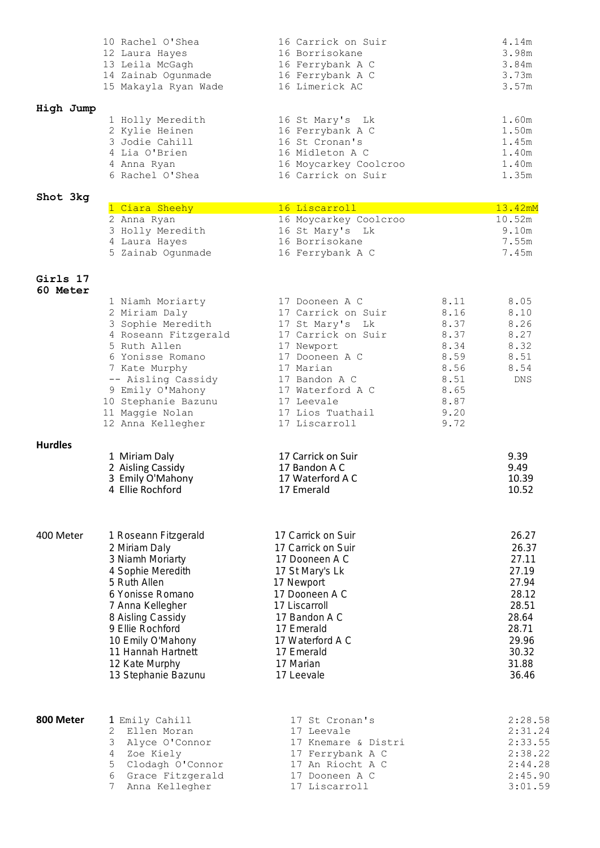|           |  | 10 Rachel O'Shea     | 16 Carrick on Suir    | 4.14m |
|-----------|--|----------------------|-----------------------|-------|
|           |  | 12 Laura Hayes       | 16 Borrisokane        | 3.98m |
|           |  | 13 Leila McGagh      | 16 Ferrybank A C      | 3.84m |
|           |  | 14 Zainab Ogunmade   | 16 Ferrybank A C      | 3.73m |
|           |  | 15 Makayla Ryan Wade | 16 Limerick AC        | 3.57m |
| High Jump |  |                      |                       |       |
|           |  | 1 Holly Meredith     | 16 St Mary's Lk       | 1.60m |
|           |  | 2 Kylie Heinen       | 16 Ferrybank A C      | 1.50m |
|           |  | 3 Jodie Cahill       | 16 St Cronan's        | 1.45m |
|           |  | 4 Lia O'Brien        | 16 Midleton A C       | 1.40m |
|           |  | 4 Anna Ryan          | 16 Moycarkey Coolcroo | 1.40m |
|           |  | 6 Rachel O'Shea      | 16 Carrick on Suir    | 1.35m |

## **Shot 3kg**

| 1 Ciara Sheehy    | 16 Liscarroll         | $13.42$ mM |
|-------------------|-----------------------|------------|
| 2 Anna Ryan       | 16 Moycarkey Coolcroo | 10.52m     |
| 3 Holly Meredith  | 16 St Mary's Lk       | 9.10m      |
| 4 Laura Hayes     | 16 Borrisokane        | 7.55m      |
| 5 Zainab Ogunmade | 16 Ferrybank A C      | 7.45m      |
|                   |                       |            |

#### **Girls 17 60 Meter**

|                | 1 Niamh Moriarty<br>2 Miriam Daly<br>3 Sophie Meredith<br>4 Roseann Fitzgerald<br>5 Ruth Allen<br>6 Yonisse Romano<br>7 Kate Murphy<br>-- Aisling Cassidy<br>9 Emily O'Mahony<br>10 Stephanie Bazunu<br>11 Maggie Nolan<br>12 Anna Kellegher                        | 17 Dooneen A C<br>17 Carrick on Suir<br>17 St Mary's Lk<br>17 Carrick on Suir<br>17 Newport<br>17 Dooneen A C<br>17 Marian<br>17 Bandon A C<br>17 Waterford A C<br>17 Leevale<br>17 Lios Tuathail<br>17 Liscarroll         | 8.11<br>8.16<br>8.37<br>8.37<br>8.34<br>8.59<br>8.56<br>8.51<br>8.65<br>8.87<br>9.20<br>9.72 | 8.05<br>8.10<br>8.26<br>8.27<br>8.32<br>8.51<br>8.54<br><b>DNS</b>                                                |
|----------------|---------------------------------------------------------------------------------------------------------------------------------------------------------------------------------------------------------------------------------------------------------------------|----------------------------------------------------------------------------------------------------------------------------------------------------------------------------------------------------------------------------|----------------------------------------------------------------------------------------------|-------------------------------------------------------------------------------------------------------------------|
| <b>Hurdles</b> | 1 Miriam Daly<br>2 Aisling Cassidy<br>3 Emily O'Mahony<br>4 Ellie Rochford                                                                                                                                                                                          | 17 Carrick on Suir<br>17 Bandon A C<br>17 Waterford A C<br>17 Emerald                                                                                                                                                      |                                                                                              | 9.39<br>9.49<br>10.39<br>10.52                                                                                    |
| 400 Meter      | 1 Roseann Fitzgerald<br>2 Miriam Daly<br>3 Niamh Moriarty<br>4 Sophie Meredith<br>5 Ruth Allen<br>6 Yonisse Romano<br>7 Anna Kellegher<br>8 Aisling Cassidy<br>9 Ellie Rochford<br>10 Emily O'Mahony<br>11 Hannah Hartnett<br>12 Kate Murphy<br>13 Stephanie Bazunu | 17 Carrick on Suir<br>17 Carrick on Suir<br>17 Dooneen A C<br>17 St Mary's Lk<br>17 Newport<br>17 Dooneen A C<br>17 Liscarroll<br>17 Bandon A C<br>17 Emerald<br>17 Waterford A C<br>17 Emerald<br>17 Marian<br>17 Leevale |                                                                                              | 26.27<br>26.37<br>27.11<br>27.19<br>27.94<br>28.12<br>28.51<br>28.64<br>28.71<br>29.96<br>30.32<br>31.88<br>36.46 |

| 800 Meter | 1 Emily Cahill     | 17 St Cronan's      | 2:28.58 |
|-----------|--------------------|---------------------|---------|
|           | 2 Ellen Moran      | 17 Leevale          | 2:31.24 |
|           | 3 Alyce O'Connor   | 17 Knemare & Distri | 2:33.55 |
|           | 4 Zoe Kiely        | 17 Ferrybank A C    | 2:38.22 |
|           | 5 Clodagh O'Connor | 17 An Riocht A C    | 2:44.28 |
|           | 6 Grace Fitzgerald | 17 Dooneen A C      | 2:45.90 |
|           | 7 Anna Kellegher   | 17 Liscarroll       | 3:01.59 |
|           |                    |                     |         |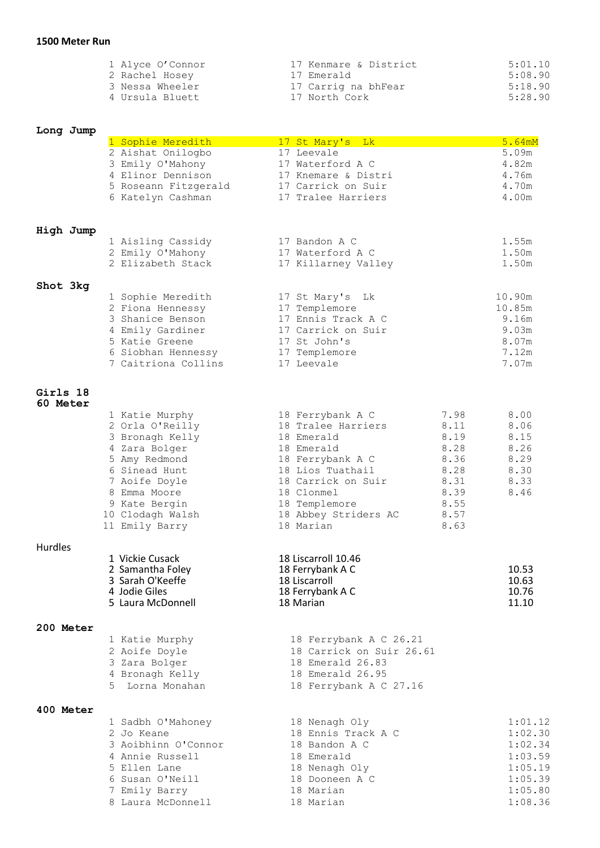| 1 Alyce O'Connor | 17 Kenmare & District | 5:01.10 |
|------------------|-----------------------|---------|
| 2 Rachel Hosey   | 17 Emerald            | 5:08.90 |
| 3 Nessa Wheeler  | 17 Carrig na bhFear   | 5:18.90 |
| 4 Ursula Bluett  | 17 North Cork         | 5:28.90 |
|                  |                       |         |

## **Long Jump**

|                             | 1 Sophie Meredith                  | 17 St Mary's Lk               |      | 5.64mM         |
|-----------------------------|------------------------------------|-------------------------------|------|----------------|
|                             | 2 Aishat Onilogbo                  | 17 Leevale                    |      | 5.09m          |
|                             | 3 Emily O'Mahony                   | 17 Waterford A C              |      | 4.82m          |
|                             | 4 Elinor Dennison                  | 17 Knemare & Distri           |      | 4.76m          |
|                             | 5 Roseann Fitzgerald               | 17 Carrick on Suir            |      | 4.70m          |
|                             | 6 Katelyn Cashman                  | 17 Tralee Harriers            |      | 4.00m          |
|                             |                                    |                               |      |                |
| High Jump                   |                                    |                               |      |                |
|                             | 1 Aisling Cassidy                  | 17 Bandon A C                 |      | 1.55m          |
|                             | 2 Emily O'Mahony                   | 17 Waterford A C              |      | 1.50m          |
|                             | 2 Elizabeth Stack                  | 17 Killarney Valley           |      | 1.50m          |
| Shot 3kg                    |                                    |                               |      |                |
|                             | 1 Sophie Meredith                  | 17 St Mary's Lk               |      | 10.90m         |
|                             | 2 Fiona Hennessy                   | 17 Templemore                 |      | 10.85m         |
|                             | 3 Shanice Benson                   | 17 Ennis Track A C            |      | 9.16m          |
|                             | 4 Emily Gardiner                   | 17 Carrick on Suir            |      | 9.03m          |
|                             | 5 Katie Greene                     | 17 St John's                  |      | 8.07m          |
|                             | 6 Siobhan Hennessy                 | 17 Templemore                 |      | 7.12m          |
|                             | 7 Caitriona Collins                | 17 Leevale                    |      | 7.07m          |
| Girls 18<br><b>60 Meter</b> |                                    |                               |      |                |
|                             | 1 Katie Murphy                     | 18 Ferrybank A C              | 7.98 | 8.00           |
|                             | 2 Orla O'Reilly                    | 18 Tralee Harriers            | 8.11 | 8.06           |
|                             | 3 Bronagh Kelly                    | 18 Emerald                    | 8.19 | 8.15           |
|                             | 4 Zara Bolger                      | 18 Emerald                    | 8.28 | 8.26           |
|                             | 5 Amy Redmond                      | 18 Ferrybank A C              | 8.36 | 8.29           |
|                             | 6 Sinead Hunt                      | 18 Lios Tuathail              | 8.28 | 8.30           |
|                             | 7 Aoife Doyle                      | 18 Carrick on Suir            | 8.31 | 8.33           |
|                             | 8 Emma Moore                       | 18 Clonmel                    | 8.39 | 8.46           |
|                             | 9 Kate Bergin                      | 18 Templemore                 | 8.55 |                |
|                             | 10 Clodagh Walsh                   | 18 Abbey Striders AC          | 8.57 |                |
|                             | 11 Emily Barry                     | 18 Marian                     | 8.63 |                |
| <b>Hurdles</b>              |                                    |                               |      |                |
|                             | 1 Vickie Cusack                    | 18 Liscarroll 10.46           |      |                |
|                             | 2 Samantha Foley                   | 18 Ferrybank A C              |      | 10.53          |
|                             | 3 Sarah O'Keeffe                   | 18 Liscarroll                 |      | 10.63          |
|                             | 4 Jodie Giles<br>5 Laura McDonnell | 18 Ferrybank A C<br>18 Marian |      | 10.76<br>11.10 |
| 200 Meter                   |                                    |                               |      |                |
|                             | 1 Katie Murphy                     | 18 Ferrybank A C 26.21        |      |                |
|                             | 2 Aoife Doyle                      | 18 Carrick on Suir 26.61      |      |                |
|                             | 3 Zara Bolger                      | 18 Emerald 26.83              |      |                |
|                             | 4 Bronagh Kelly                    | 18 Emerald 26.95              |      |                |
|                             | 5 Lorna Monahan                    | 18 Ferrybank A C 27.16        |      |                |
| 400 Meter                   |                                    |                               |      |                |
|                             | 1 Sadbh O'Mahoney                  | 18 Nenagh Oly                 |      | 1:01.12        |
|                             | 2 Jo Keane                         | 18 Ennis Track A C            |      | 1:02.30        |
|                             | 3 Aoibhinn O'Connor                | 18 Bandon A C                 |      | 1:02.34        |
|                             | 4 Annie Russell                    | 18 Emerald                    |      | 1:03.59        |
|                             | 5 Ellen Lane                       | 18 Nenagh Oly                 |      | 1:05.19        |
|                             | 6 Susan O'Neill                    | 18 Dooneen A C                |      | 1:05.39        |
|                             | 7 Emily Barry                      | 18 Marian                     |      | 1:05.80        |
|                             | 8 Laura McDonnell                  | 18 Marian                     |      | 1:08.36        |
|                             |                                    |                               |      |                |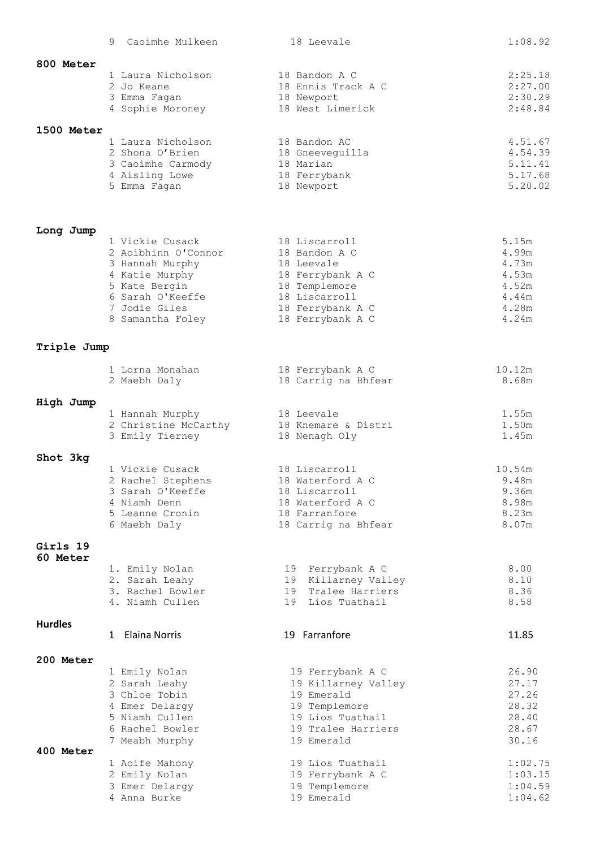|                   | Caoimhe Mulkeen<br>9             | 18 Leevale                                 | 1:08.92        |
|-------------------|----------------------------------|--------------------------------------------|----------------|
| 800 Meter         |                                  |                                            |                |
|                   | 1 Laura Nicholson                | 18 Bandon A C                              | 2:25.18        |
|                   | 2 Jo Keane                       | 18 Ennis Track A C                         | 2:27.00        |
|                   | 3 Emma Fagan                     | 18 Newport                                 | 2:30.29        |
|                   | 4 Sophie Moroney                 | 18 West Limerick                           | 2:48.84        |
| <b>1500 Meter</b> |                                  |                                            |                |
|                   | 1 Laura Nicholson                | 18 Bandon AC                               | 4.51.67        |
|                   | 2 Shona O'Brien                  | 18 Gneeveguilla                            | 4.54.39        |
|                   | 3 Caoimhe Carmody                | 18 Marian                                  | 5.11.41        |
|                   | 4 Aisling Lowe                   | 18 Ferrybank                               | 5.17.68        |
|                   | 5 Emma Fagan                     | 18 Newport                                 | 5.20.02        |
|                   |                                  |                                            |                |
|                   |                                  |                                            |                |
| Long Jump         | 1 Vickie Cusack                  | 18 Liscarroll                              | 5.15m          |
|                   | 2 Aoibhinn O'Connor              | 18 Bandon A C                              | 4.99m          |
|                   | 3 Hannah Murphy                  | 18 Leevale                                 | 4.73m          |
|                   | 4 Katie Murphy                   | 18 Ferrybank A C                           | 4.53m          |
|                   | 5 Kate Bergin                    | 18 Templemore                              | 4.52m          |
|                   | 6 Sarah O'Keeffe                 | 18 Liscarroll                              | 4.44m          |
|                   | 7 Jodie Giles                    | 18 Ferrybank A C                           | 4.28m          |
|                   | 8 Samantha Foley                 | 18 Ferrybank A C                           | 4.24m          |
| Triple Jump       |                                  |                                            |                |
|                   |                                  |                                            |                |
|                   | 1 Lorna Monahan                  | 18 Ferrybank A C                           | 10.12m         |
|                   | 2 Maebh Daly                     | 18 Carrig na Bhfear                        | 8.68m          |
| High Jump         |                                  |                                            |                |
|                   | 1 Hannah Murphy                  | 18 Leevale                                 | 1.55m          |
|                   | 2 Christine McCarthy             | 18 Knemare & Distri                        | 1.50m          |
|                   | 3 Emily Tierney                  | 18 Nenagh Oly                              | 1.45m          |
| Shot 3kg          |                                  |                                            |                |
|                   | 1 Vickie Cusack                  | 18 Liscarroll                              | 10.54m         |
|                   | 2 Rachel Stephens                | 18 Waterford A C                           | 9.48m          |
|                   | 3 Sarah O'Keeffe                 | 18 Liscarroll                              | 9.36m          |
|                   | 4 Niamh Denn                     | 18 Waterford A C                           | 8.98m          |
|                   | 5 Leanne Cronin                  | 18 Farranfore                              | 8.23m          |
|                   | 6 Maebh Daly                     | 18 Carrig na Bhfear                        | 8.07m          |
| Girls 19          |                                  |                                            |                |
| 60 Meter          |                                  |                                            |                |
|                   | 1. Emily Nolan<br>2. Sarah Leahy | 19 Ferrybank A C<br>Killarney Valley<br>19 | 8.00<br>8.10   |
|                   | 3. Rachel Bowler                 | Tralee Harriers<br>19                      | 8.36           |
|                   | 4. Niamh Cullen                  | 19 Lios Tuathail                           | 8.58           |
|                   |                                  |                                            |                |
| <b>Hurdles</b>    | 1 Elaina Norris                  | 19 Farranfore                              | 11.85          |
|                   |                                  |                                            |                |
| 200 Meter         |                                  |                                            |                |
|                   | 1 Emily Nolan                    | 19 Ferrybank A C                           | 26.90          |
|                   | 2 Sarah Leahy                    | 19 Killarney Valley                        | 27.17          |
|                   | 3 Chloe Tobin                    | 19 Emerald                                 | 27.26          |
|                   | 4 Emer Delargy<br>5 Niamh Cullen | 19 Templemore<br>19 Lios Tuathail          | 28.32<br>28.40 |
|                   | 6 Rachel Bowler                  | 19 Tralee Harriers                         | 28.67          |
|                   | 7 Meabh Murphy                   | 19 Emerald                                 | 30.16          |
| <b>400 Meter</b>  |                                  |                                            |                |
|                   | 1 Aoife Mahony                   | 19 Lios Tuathail                           | 1:02.75        |
|                   | 2 Emily Nolan                    | 19 Ferrybank A C                           | 1:03.15        |
|                   | 3 Emer Delargy                   | 19 Templemore                              | 1:04.59        |
|                   | 4 Anna Burke                     | 19 Emerald                                 | 1:04.62        |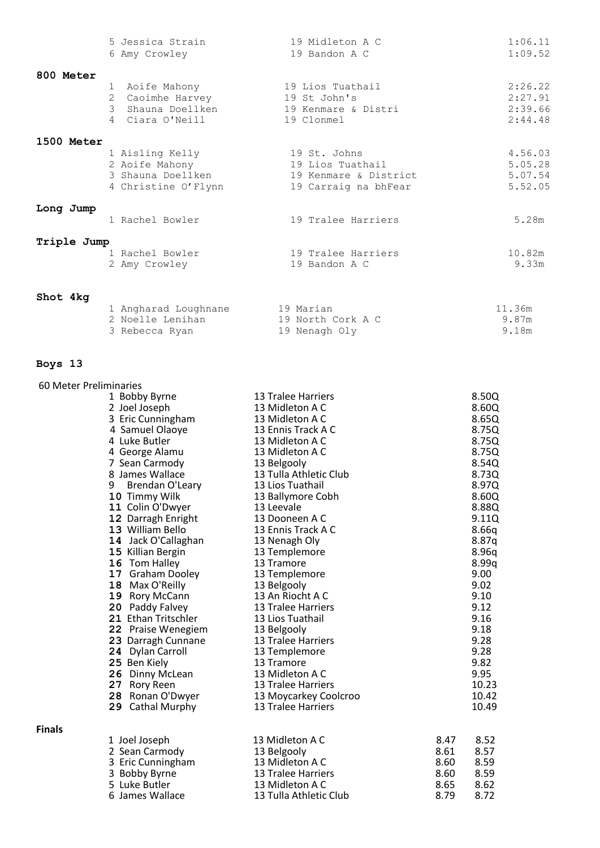|             | 5 Jessica Strain                 | 19 Midleton A C             | 1:06.11 |
|-------------|----------------------------------|-----------------------------|---------|
|             | 6 Amy Crowley                    | 19 Bandon A C               | 1:09.52 |
| 800 Meter   |                                  |                             |         |
|             | 1 Aoife Mahony                   | 19 Lios Tuathail            | 2:26.22 |
|             | Caoimhe Harvey<br>2              | 19 St John's                | 2:27.91 |
|             | $\mathcal{B}$<br>Shauna Doellken | 19 Kenmare & Distri         | 2:39.66 |
|             | 4 Ciara O'Neill                  | 19 Clonmel                  | 2:44.48 |
| 1500 Meter  |                                  |                             |         |
|             | 1 Aisling Kelly                  | 19 St. Johns                | 4.56.03 |
|             | 2 Aoife Mahony                   | 19 Lios Tuathail            | 5.05.28 |
|             | 3 Shauna Doellken                | 19 Kenmare & District       | 5.07.54 |
|             | 4 Christine O'Flynn              | 19 Carraig na bhFear        | 5.52.05 |
| Long Jump   |                                  |                             |         |
|             | 1 Rachel Bowler                  | 19 Tralee Harriers          | 5.28m   |
| Triple Jump |                                  |                             |         |
|             | 1 Rachel Bowler                  | 19 Tralee Harriers          | 10.82m  |
|             | 2 Amy Crowley                    | 19 Bandon A C               | 9.33m   |
| Shot 4kg    |                                  |                             |         |
|             | 1 Angharad Loughnane             | 19 Marian                   | 11.36m  |
|             | $2$ Noollo Ioniban               | $10$ North Corl $\lambda$ C | QQ7m    |

| 1 Angharad Loughnane | 19 Marian         | 11.36m |
|----------------------|-------------------|--------|
| 2 Noelle Lenihan     | 19 North Cork A C | 9.87m  |
| 3 Rebecca Ryan       | 19 Nenagh Oly     | 9.18m  |
|                      |                   |        |

# **Boys 13**

| 60 Meter Preliminaries |                      |                           |      |       |
|------------------------|----------------------|---------------------------|------|-------|
|                        | 1 Bobby Byrne        | <b>13 Tralee Harriers</b> |      | 8.50Q |
|                        | 2 Joel Joseph        | 13 Midleton A C           |      | 8.60Q |
|                        | 3 Eric Cunningham    | 13 Midleton A C           |      | 8.65Q |
|                        | 4 Samuel Olaoye      | 13 Ennis Track A C        |      | 8.75Q |
|                        | 4 Luke Butler        | 13 Midleton A C           |      | 8.75Q |
|                        | 4 George Alamu       | 13 Midleton A C           |      | 8.75Q |
|                        | 7 Sean Carmody       | 13 Belgooly               |      | 8.54Q |
|                        | 8 James Wallace      | 13 Tulla Athletic Club    |      | 8.73Q |
|                        | 9<br>Brendan O'Leary | 13 Lios Tuathail          |      | 8.97Q |
|                        | 10 Timmy Wilk        | 13 Ballymore Cobh         |      | 8.60Q |
|                        | 11 Colin O'Dwyer     | 13 Leevale                |      | 8.88Q |
|                        | 12 Darragh Enright   | 13 Dooneen A C            |      | 9.11Q |
|                        | 13 William Bello     | 13 Ennis Track A C        |      | 8.66q |
|                        | 14 Jack O'Callaghan  | 13 Nenagh Oly             |      | 8.87q |
|                        | 15 Killian Bergin    | 13 Templemore             |      | 8.96q |
|                        | 16 Tom Halley        | 13 Tramore                |      | 8.99q |
|                        | 17 Graham Dooley     | 13 Templemore             |      | 9.00  |
|                        | 18 Max O'Reilly      | 13 Belgooly               |      | 9.02  |
|                        | 19 Rory McCann       | 13 An Riocht A C          |      | 9.10  |
|                        | 20 Paddy Falvey      | <b>13 Tralee Harriers</b> |      | 9.12  |
|                        | 21 Ethan Tritschler  | 13 Lios Tuathail          |      | 9.16  |
|                        | 22 Praise Wenegiem   | 13 Belgooly               |      | 9.18  |
|                        | 23 Darragh Cunnane   | 13 Tralee Harriers        |      | 9.28  |
|                        | 24 Dylan Carroll     | 13 Templemore             |      | 9.28  |
|                        | 25 Ben Kiely         | 13 Tramore                |      | 9.82  |
|                        | 26 Dinny McLean      | 13 Midleton A C           |      | 9.95  |
|                        | 27 Rory Reen         | 13 Tralee Harriers        |      | 10.23 |
|                        | 28 Ronan O'Dwyer     | 13 Moycarkey Coolcroo     |      | 10.42 |
|                        | 29 Cathal Murphy     | <b>13 Tralee Harriers</b> |      | 10.49 |
| <b>Finals</b>          |                      |                           |      |       |
|                        | 1 Joel Joseph        | 13 Midleton A C           | 8.47 | 8.52  |
|                        | 2 Sean Carmody       | 13 Belgooly               | 8.61 | 8.57  |
|                        | 3 Eric Cunningham    | 13 Midleton A C           | 8.60 | 8.59  |
|                        | 3 Bobby Byrne        | 13 Tralee Harriers        | 8.60 | 8.59  |
|                        | 5 Luke Butler        | 13 Midleton A C           | 8.65 | 8.62  |
|                        | 6 James Wallace      | 13 Tulla Athletic Club    | 8.79 | 8.72  |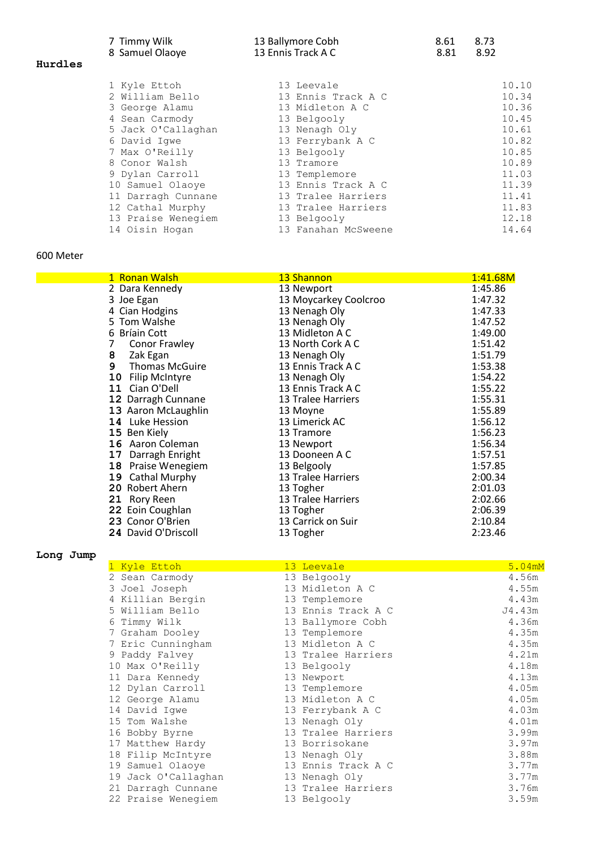|         | 7 Timmy Wilk<br>8 Samuel Olaoye | 13 Ballymore Cobh<br>13 Ennis Track A C | 8.61<br>8.81 | 8.73<br>8.92 |
|---------|---------------------------------|-----------------------------------------|--------------|--------------|
| Hurdles |                                 |                                         |              |              |
|         | 1 Kyle Ettoh                    | 13 Leevale                              |              | 10.10        |
|         | 2 William Bello                 | 13 Ennis Track A C                      |              | 10.34        |
|         | 3 George Alamu                  | 13 Midleton A C                         |              | 10.36        |
|         | 4 Sean Carmody                  | 13 Belgooly                             |              | 10.45        |
|         | 5 Jack O'Callaghan              | 13 Nenagh Oly                           |              | 10.61        |
|         | 6 David Igwe                    | 13 Ferrybank A C                        |              | 10.82        |
|         | 7 Max O'Reilly                  | 13 Belgooly                             |              | 10.85        |
|         | 8 Conor Walsh                   | 13 Tramore                              |              | 10.89        |
|         | 9 Dylan Carroll                 | 13 Templemore                           |              | 11.03        |
|         | 10 Samuel Olaoye                | 13 Ennis Track A C                      |              | 11.39        |
|         | 11 Darragh Cunnane              | 13 Tralee Harriers                      |              | 11.41        |
|         | 12 Cathal Murphy                | 13 Tralee Harriers                      |              | 11.83        |
|         | 13 Praise Wenegiem              | 13 Belgooly                             |              | 12.18        |
|         | 14 Oisin Hogan                  | 13 Fanahan McSweene                     |              | 14.64        |

## 600 Meter

| 1 Ronan Walsh               | 13 Shannon                | 1:41.68M |
|-----------------------------|---------------------------|----------|
| 2 Dara Kennedy              | 13 Newport                | 1:45.86  |
| 3 Joe Egan                  | 13 Moycarkey Coolcroo     | 1:47.32  |
| 4 Cian Hodgins              | 13 Nenagh Oly             | 1:47.33  |
| 5 Tom Walshe                | 13 Nenagh Oly             | 1:47.52  |
| 6 Bríain Cott               | 13 Midleton A C           | 1:49.00  |
| Conor Frawley<br>7          | 13 North Cork A C         | 1:51.42  |
| 8<br>Zak Egan               | 13 Nenagh Oly             | 1:51.79  |
| 9<br><b>Thomas McGuire</b>  | 13 Ennis Track A C        | 1:53.38  |
| 10<br><b>Filip McIntyre</b> | 13 Nenagh Oly             | 1:54.22  |
| Cian O'Dell<br>11           | 13 Ennis Track A C        | 1:55.22  |
| 12 Darragh Cunnane          | 13 Tralee Harriers        | 1:55.31  |
| 13 Aaron McLaughlin         | 13 Moyne                  | 1:55.89  |
| 14 Luke Hession             | 13 Limerick AC            | 1:56.12  |
| 15 Ben Kiely                | 13 Tramore                | 1:56.23  |
| 16 Aaron Coleman            | 13 Newport                | 1:56.34  |
| Darragh Enright<br>17       | 13 Dooneen A C            | 1:57.51  |
| Praise Wenegiem<br>18       | 13 Belgooly               | 1:57.85  |
| 19 Cathal Murphy            | 13 Tralee Harriers        | 2:00.34  |
| 20 Robert Ahern             | 13 Togher                 | 2:01.03  |
| 21 Rory Reen                | <b>13 Tralee Harriers</b> | 2:02.66  |
| 22 Eoin Coughlan            | 13 Togher                 | 2:06.39  |
| 23 Conor O'Brien            | 13 Carrick on Suir        | 2:10.84  |
| 24 David O'Driscoll         | 13 Togher                 | 2:23.46  |

**Long Jump**

| 1 Kyle Ettoh        | 13 Leevale         | 5.04mM |
|---------------------|--------------------|--------|
| 2 Sean Carmody      | 13 Belgooly        | 4.56m  |
| 3 Joel Joseph       | 13 Midleton A C    | 4.55m  |
| 4 Killian Bergin    | 13 Templemore      | 4.43m  |
| 5 William Bello     | 13 Ennis Track A C | J4.43m |
| 6 Timmy Wilk        | 13 Ballymore Cobh  | 4.36m  |
| 7 Graham Dooley     | 13 Templemore      | 4.35m  |
| 7 Eric Cunningham   | 13 Midleton A C    | 4.35m  |
| 9 Paddy Falvey      | 13 Tralee Harriers | 4.21m  |
| 10 Max O'Reilly     | 13 Belgooly        | 4.18m  |
| 11 Dara Kennedy     | 13 Newport         | 4.13m  |
| 12 Dylan Carroll    | 13 Templemore      | 4.05m  |
| 12 George Alamu     | 13 Midleton A C    | 4.05m  |
| 14 David Iqwe       | 13 Ferrybank A C   | 4.03m  |
| 15 Tom Walshe       | 13 Nenagh Oly      | 4.01m  |
| 16 Bobby Byrne      | 13 Tralee Harriers | 3.99m  |
| 17 Matthew Hardy    | 13 Borrisokane     | 3.97m  |
| 18 Filip McIntyre   | 13 Nenagh Oly      | 3.88m  |
| 19 Samuel Olaoye    | 13 Ennis Track A C | 3.77m  |
| 19 Jack O'Callaghan | 13 Nenagh Oly      | 3.77m  |
| 21 Darragh Cunnane  | 13 Tralee Harriers | 3.76m  |
| 22 Praise Wenegiem  | 13 Belgooly        | 3.59m  |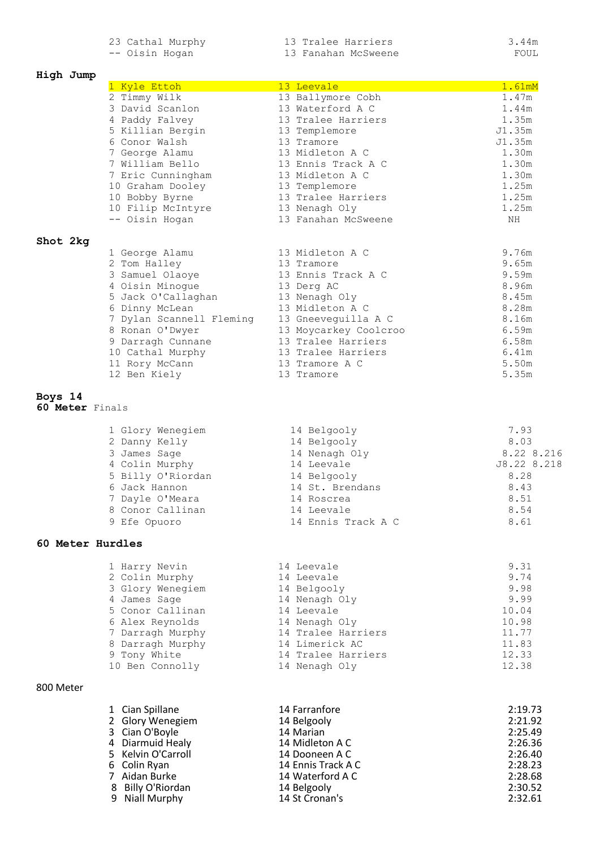23 Cathal Murphy 13 Tralee Harriers 3.44m -- Oisin Hogan 13 Fanahan McSweene FOUL

#### **High Jump**

| High Jump                  |                                   |                                        |                |
|----------------------------|-----------------------------------|----------------------------------------|----------------|
|                            | 1 Kyle Ettoh                      | 13 Leevale                             | 1.61mM         |
|                            | 2 Timmy Wilk                      | 13 Ballymore Cobh                      | 1.47m          |
|                            | 3 David Scanlon<br>4 Paddy Falvey | 13 Waterford A C<br>13 Tralee Harriers | 1.44m<br>1.35m |
|                            | 5 Killian Bergin                  | 13 Templemore                          | J1.35m         |
|                            | 6 Conor Walsh                     | 13 Tramore                             | J1.35m         |
|                            | 7 George Alamu                    | 13 Midleton A C                        | 1.30m          |
|                            | 7 William Bello                   | 13 Ennis Track A C                     | 1.30m          |
|                            | 7 Eric Cunningham                 | 13 Midleton A C                        | 1.30m          |
|                            | 10 Graham Dooley                  | 13 Templemore                          | 1.25m          |
|                            | 10 Bobby Byrne                    | 13 Tralee Harriers                     | 1.25m          |
|                            | 10 Filip McIntyre                 | 13 Nenagh Oly                          | 1.25m          |
|                            | -- Oisin Hogan                    | 13 Fanahan McSweene                    | ΝH             |
| Shot 2kg                   |                                   |                                        |                |
|                            | 1 George Alamu                    | 13 Midleton A C                        | 9.76m          |
|                            | 2 Tom Halley                      | 13 Tramore                             | 9.65m          |
|                            | 3 Samuel Olaoye                   | 13 Ennis Track A C                     | 9.59m          |
|                            | 4 Oisin Minogue                   | 13 Derg AC                             | 8.96m          |
|                            | 5 Jack O'Callaghan                | 13 Nenagh Oly                          | 8.45m          |
|                            | 6 Dinny McLean                    | 13 Midleton A C                        | 8.28m          |
|                            | 7 Dylan Scannell Fleming          | 13 Gneeveguilla A C                    | 8.16m          |
|                            | 8 Ronan O'Dwyer                   | 13 Moycarkey Coolcroo                  | 6.59m          |
|                            | 9 Darragh Cunnane                 | 13 Tralee Harriers                     | 6.58m          |
|                            | 10 Cathal Murphy                  | 13 Tralee Harriers                     | 6.41m          |
|                            | 11 Rory McCann                    | 13 Tramore A C                         | 5.50m          |
|                            | 12 Ben Kiely                      | 13 Tramore                             | 5.35m          |
| Boys 14<br>60 Meter Finals |                                   |                                        |                |
|                            |                                   |                                        |                |
|                            | 1 Glory Wenegiem                  | 14 Belgooly                            | 7.93           |
|                            | 2 Danny Kelly                     | 14 Belgooly                            | 8.03           |
|                            | 3 James Sage                      | 14 Nenagh Oly                          | 8.22 8.216     |
|                            | 4 Colin Murphy                    | 14 Leevale                             | J8.22 8.218    |
|                            | 5 Billy O'Riordan                 | 14 Belgooly                            | 8.28           |
|                            | 6 Jack Hannon                     | 14 St. Brendans                        | 8.43           |
|                            | 7 Dayle O'Meara                   | 14 Roscrea                             | 8.51           |
|                            | 8 Conor Callinan                  | 14 Leevale                             | 8.54           |
|                            | 9 Efe Opuoro                      | 14 Ennis Track A C                     | 8.61           |
| 60 Meter Hurdles           |                                   |                                        |                |
|                            | 1 Harry Nevin                     | 14 Leevale                             | 9.31           |
|                            | 2 Colin Murphy                    | 14 Leevale                             | 9.74           |
|                            | 3 Glory Wenegiem                  | 14 Belgooly                            | 9.98           |
|                            | 4 James Sage                      | 14 Nenagh Oly                          | 9.99           |
|                            | 5 Conor Callinan                  | 14 Leevale                             | 10.04          |
|                            | 6 Alex Reynolds                   | 14 Nenagh Oly                          | 10.98          |
|                            | 7 Darragh Murphy                  | 14 Tralee Harriers                     | 11.77          |
|                            | 8 Darragh Murphy                  | 14 Limerick AC                         | 11.83          |
|                            | 9 Tony White                      | 14 Tralee Harriers                     | 12.33          |
|                            | 10 Ben Connolly                   | 14 Nenagh Oly                          | 12.38          |
| 800 Meter                  |                                   |                                        |                |
|                            | 1 Cian Spillane                   | 14 Farranfore                          | 2:19.73        |
|                            | 2 Glory Wenegiem                  | 14 Belgooly                            | 2:21.92        |
|                            | 3 Cian O'Boyle                    | 14 Marian                              | 2:25.49        |
|                            | 4 Diarmuid Healy                  | 14 Midleton A C                        | 2:26.36        |
|                            | 5 Kelvin O'Carroll                | 14 Dooneen A C                         | 2:26.40        |
|                            | 6 Colin Ryan                      | 14 Ennis Track A C                     | 2:28.23        |
|                            | 7 Aidan Burke                     | 14 Waterford A C                       | 2:28.68        |
|                            | 8 Billy O'Riordan                 | 14 Belgooly                            | 2:30.52        |

9 Niall Murphy 14 St Cronan's 2:32.61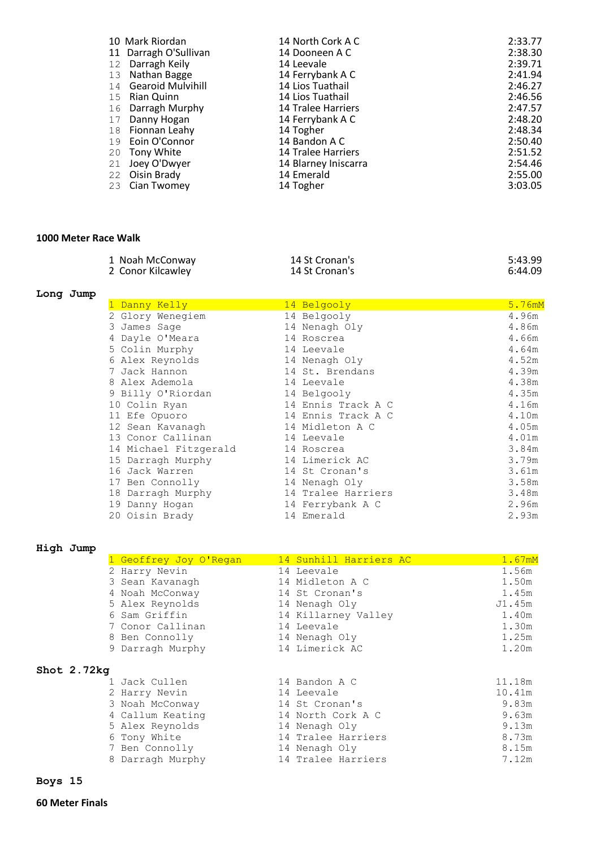|    | 10 Mark Riordan       | 14 North Cork A C         | 2:33.77 |
|----|-----------------------|---------------------------|---------|
|    | 11 Darragh O'Sullivan | 14 Dooneen A C            | 2:38.30 |
| 12 | Darragh Keily         | 14 Leevale                | 2:39.71 |
|    | 13 Nathan Bagge       | 14 Ferrybank A C          | 2:41.94 |
|    | 14 Gearoid Mulvihill  | 14 Lios Tuathail          | 2:46.27 |
|    | 15 Rian Quinn         | 14 Lios Tuathail          | 2:46.56 |
|    | 16 Darragh Murphy     | 14 Tralee Harriers        | 2:47.57 |
| 17 | Danny Hogan           | 14 Ferrybank A C          | 2:48.20 |
|    | 18 Fionnan Leahy      | 14 Togher                 | 2:48.34 |
|    | 19 Eoin O'Connor      | 14 Bandon A C             | 2:50.40 |
|    | 20 Tony White         | <b>14 Tralee Harriers</b> | 2:51.52 |
| 21 | Joey O'Dwyer          | 14 Blarney Iniscarra      | 2:54.46 |
|    | 22 Oisin Brady        | 14 Emerald                | 2:55.00 |
|    | 23 Cian Twomey        | 14 Togher                 | 3:03.05 |

# **1000 Meter Race Walk**

| 1 Noah McConway   | 14 St Cronan's | 5:43.99 |
|-------------------|----------------|---------|
| 2 Conor Kilcawley | 14 St Cronan's | 6:44.09 |

# **Long Jump**

| Danny Kelly           | 14 Belgooly        | 5.76mM |
|-----------------------|--------------------|--------|
| 2 Glory Wenegiem      | 14 Belgooly        | 4.96m  |
| 3 James Sage          | 14 Nenagh Oly      | 4.86m  |
| 4 Dayle O'Meara       | 14 Roscrea         | 4.66m  |
| 5 Colin Murphy        | 14 Leevale         | 4.64m  |
| 6 Alex Reynolds       | 14 Nenagh Oly      | 4.52m  |
| 7 Jack Hannon         | 14 St. Brendans    | 4.39m  |
| 8 Alex Ademola        | 14 Leevale         | 4.38m  |
| 9 Billy O'Riordan     | 14 Belgooly        | 4.35m  |
| 10 Colin Ryan         | 14 Ennis Track A C | 4.16m  |
| 11 Efe Opuoro         | 14 Ennis Track A C | 4.10m  |
| 12 Sean Kavanagh      | 14 Midleton A C    | 4.05m  |
| 13 Conor Callinan     | 14 Leevale         | 4.01m  |
| 14 Michael Fitzgerald | 14 Roscrea         | 3.84m  |
| 15 Darragh Murphy     | 14 Limerick AC     | 3.79m  |
| 16 Jack Warren        | 14 St Cronan's     | 3.61m  |
| 17 Ben Connolly       | 14 Nenagh Oly      | 3.58m  |
| 18 Darragh Murphy     | 14 Tralee Harriers | 3.48m  |
| 19 Danny Hogan        | 14 Ferrybank A C   | 2.96m  |
| 20 Oisin Brady        | 14 Emerald         | 2.93m  |

## **High Jump**

|               | 1 Geoffrey Joy O'Regan | 14 Sunhill Harriers AC | 1.67mM |
|---------------|------------------------|------------------------|--------|
|               | 2 Harry Nevin          | 14 Leevale             | 1.56m  |
|               | 3 Sean Kavanagh        | 14 Midleton A C        | 1.50m  |
|               | 4 Noah McConway        | 14 St Cronan's         | 1.45m  |
|               | 5 Alex Reynolds        | 14 Nenagh Oly          | J1.45m |
|               | 6 Sam Griffin          | 14 Killarney Valley    | 1.40m  |
|               | 7 Conor Callinan       | 14 Leevale             | 1.30m  |
|               | 8 Ben Connolly         | 14 Nenagh Oly          | 1.25m  |
|               | 9 Darragh Murphy       | 14 Limerick AC         | 1.20m  |
| Shot $2.72kg$ |                        |                        |        |
|               | 1 Jack Cullen          | 14 Bandon A C          | 11.18m |
|               | 2 Harry Nevin          | 14 Leevale             | 10.41m |
|               | 3 Noah McConway        | 14 St Cronan's         | 9.83m  |
|               | 4 Callum Keating       | 14 North Cork A C      | 9.63m  |
|               | 5 Alex Reynolds        | 14 Nenagh Oly          | 9.13m  |
|               | 6 Tony White           | 14 Tralee Harriers     | 8.73m  |
|               | 7 Ben Connolly         | 14 Nenagh Oly          | 8.15m  |
|               | 8 Darragh Murphy       | 14 Tralee Harriers     | 7.12m  |
|               |                        |                        |        |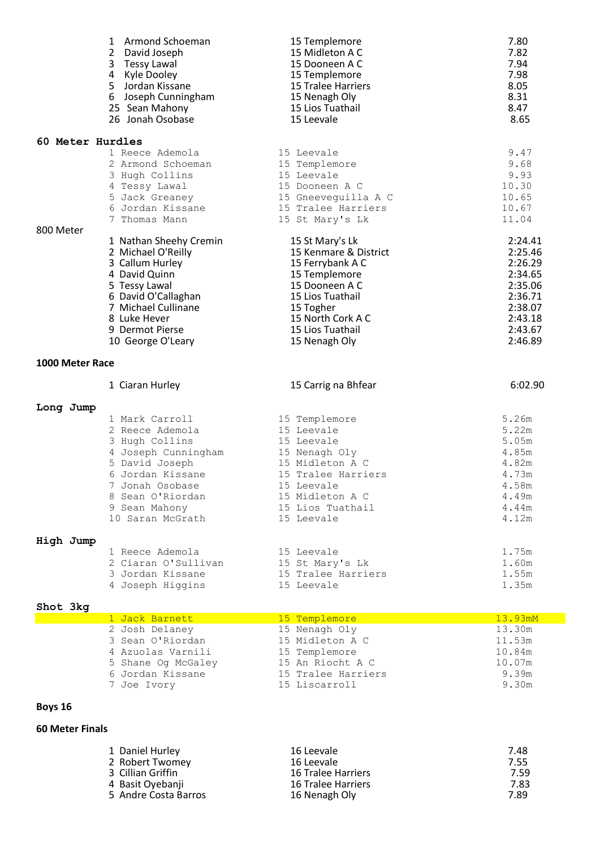|                  | 1 Armond Schoeman<br>2 David Joseph<br>3 Tessy Lawal<br>4 Kyle Dooley<br>5 Jordan Kissane<br>6 Joseph Cunningham<br>25 Sean Mahony<br>26 Jonah Osobase                                       | 15 Templemore<br>15 Midleton A C<br>15 Dooneen A C<br>15 Templemore<br><b>15 Tralee Harriers</b><br>15 Nenagh Oly<br>15 Lios Tuathail<br>15 Leevale                     | 7.80<br>7.82<br>7.94<br>7.98<br>8.05<br>8.31<br>8.47<br>8.65                                    |
|------------------|----------------------------------------------------------------------------------------------------------------------------------------------------------------------------------------------|-------------------------------------------------------------------------------------------------------------------------------------------------------------------------|-------------------------------------------------------------------------------------------------|
| 60 Meter Hurdles |                                                                                                                                                                                              |                                                                                                                                                                         |                                                                                                 |
|                  | 1 Reece Ademola<br>2 Armond Schoeman<br>3 Hugh Collins<br>4 Tessy Lawal<br>5 Jack Greaney<br>6 Jordan Kissane<br>7 Thomas Mann                                                               | 15 Leevale<br>15 Templemore<br>15 Leevale<br>15 Dooneen A C<br>15 Gneeveguilla A C<br>15 Tralee Harriers<br>15 St Mary's Lk                                             | 9.47<br>9.68<br>9.93<br>10.30<br>10.65<br>10.67<br>11.04                                        |
| 800 Meter        | 1 Nathan Sheehy Cremin                                                                                                                                                                       | 15 St Mary's Lk                                                                                                                                                         | 2:24.41                                                                                         |
|                  | 2 Michael O'Reilly<br>3 Callum Hurley<br>4 David Quinn<br>5 Tessy Lawal<br>6 David O'Callaghan<br>7 Michael Cullinane<br>8 Luke Hever<br>9 Dermot Pierse<br>10 George O'Leary                | 15 Kenmare & District<br>15 Ferrybank A C<br>15 Templemore<br>15 Dooneen A C<br>15 Lios Tuathail<br>15 Togher<br>15 North Cork A C<br>15 Lios Tuathail<br>15 Nenagh Oly | 2:25.46<br>2:26.29<br>2:34.65<br>2:35.06<br>2:36.71<br>2:38.07<br>2:43.18<br>2:43.67<br>2:46.89 |
| 1000 Meter Race  |                                                                                                                                                                                              |                                                                                                                                                                         |                                                                                                 |
|                  | 1 Ciaran Hurley                                                                                                                                                                              | 15 Carrig na Bhfear                                                                                                                                                     | 6:02.90                                                                                         |
| Long Jump        |                                                                                                                                                                                              |                                                                                                                                                                         |                                                                                                 |
|                  | 1 Mark Carroll<br>2 Reece Ademola<br>3 Hugh Collins<br>4 Joseph Cunningham<br>5 David Joseph<br>6 Jordan Kissane<br>7 Jonah Osobase<br>8 Sean O'Riordan<br>9 Sean Mahony<br>10 Saran McGrath | 15 Templemore<br>15 Leevale<br>15 Leevale<br>15 Nenagh Oly<br>15 Midleton A C<br>15 Tralee Harriers<br>15 Leevale<br>15 Midleton A C<br>15 Lios Tuathail<br>15 Leevale  | 5.26m<br>5.22m<br>5.05m<br>4.85m<br>4.82m<br>4.73m<br>4.58m<br>4.49m<br>4.44m<br>4.12m          |

# **High Jump**

| l Reece Ademola     | 15 Leevale         | 1.75m |
|---------------------|--------------------|-------|
| 2 Ciaran O'Sullivan | 15 St Mary's Lk    | 1.60m |
| 3 Jordan Kissane    | 15 Tralee Harriers | 1.55m |
| 4 Joseph Higgins    | 15 Leevale         | 1.35m |

#### **Shot 3kg**

| 1 Jack Barnett     | 15 Templemore      | 13.93mM |
|--------------------|--------------------|---------|
| 2 Josh Delaney     | 15 Nenagh Oly      | 13.30m  |
| 3 Sean O'Riordan   | 15 Midleton A C    | 11.53m  |
| 4 Azuolas Varnili  | 15 Templemore      | 10.84m  |
| 5 Shane Og McGaley | 15 An Riocht A C   | 10.07m  |
| 6 Jordan Kissane   | 15 Tralee Harriers | 9.39m   |
| 7 Joe Ivory        | 15 Liscarroll      | 9.30m   |

# **Boys 16**

## **60 Meter Finals**

| 1 Daniel Hurley      | 16 Leevale                | 7.48 |
|----------------------|---------------------------|------|
| 2 Robert Twomey      | 16 Leevale                | 7.55 |
| 3 Cillian Griffin    | 16 Tralee Harriers        | 7.59 |
| 4 Basit Oyebanji     | <b>16 Tralee Harriers</b> | 7.83 |
| 5 Andre Costa Barros | 16 Nenagh Oly             | 7.89 |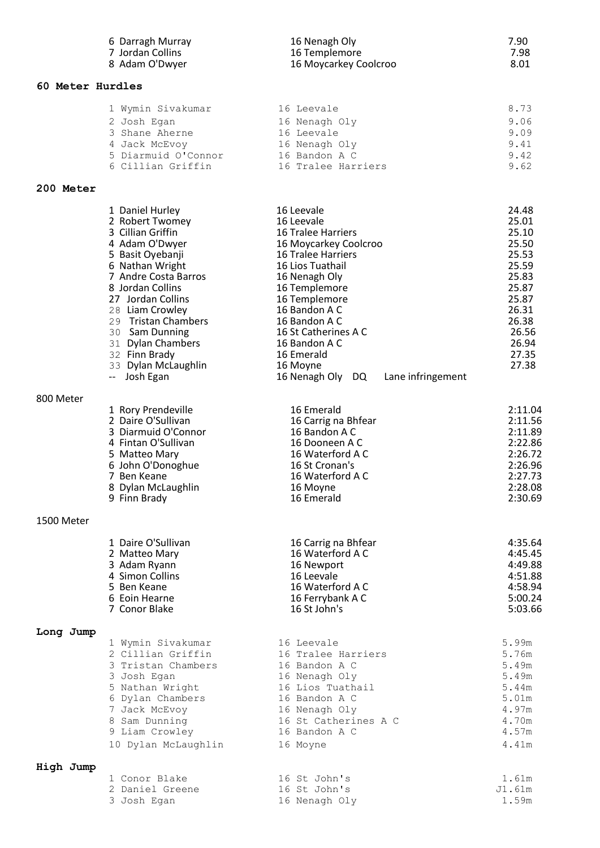|                  | 6 Darragh Murray                                                                                                                                                                                                                                                                                                               | 16 Nenagh Oly                                                                                                                                                                                                                                                                                                                    | 7.90                                                                                                                                |
|------------------|--------------------------------------------------------------------------------------------------------------------------------------------------------------------------------------------------------------------------------------------------------------------------------------------------------------------------------|----------------------------------------------------------------------------------------------------------------------------------------------------------------------------------------------------------------------------------------------------------------------------------------------------------------------------------|-------------------------------------------------------------------------------------------------------------------------------------|
|                  | 7 Jordan Collins                                                                                                                                                                                                                                                                                                               | 16 Templemore                                                                                                                                                                                                                                                                                                                    | 7.98                                                                                                                                |
|                  | 8 Adam O'Dwyer                                                                                                                                                                                                                                                                                                                 | 16 Moycarkey Coolcroo                                                                                                                                                                                                                                                                                                            | 8.01                                                                                                                                |
| 60 Meter Hurdles |                                                                                                                                                                                                                                                                                                                                |                                                                                                                                                                                                                                                                                                                                  |                                                                                                                                     |
|                  | 1 Wymin Sivakumar                                                                                                                                                                                                                                                                                                              | 16 Leevale                                                                                                                                                                                                                                                                                                                       | 8.73                                                                                                                                |
|                  | 2 Josh Egan                                                                                                                                                                                                                                                                                                                    | 16 Nenagh Oly                                                                                                                                                                                                                                                                                                                    | 9.06                                                                                                                                |
|                  | 3 Shane Aherne                                                                                                                                                                                                                                                                                                                 | 16 Leevale                                                                                                                                                                                                                                                                                                                       | 9.09                                                                                                                                |
|                  | 4 Jack McEvoy                                                                                                                                                                                                                                                                                                                  | 16 Nenagh Oly                                                                                                                                                                                                                                                                                                                    | 9.41                                                                                                                                |
|                  | 5 Diarmuid O'Connor                                                                                                                                                                                                                                                                                                            | 16 Bandon A C                                                                                                                                                                                                                                                                                                                    | 9.42                                                                                                                                |
|                  | 6 Cillian Griffin                                                                                                                                                                                                                                                                                                              | 16 Tralee Harriers                                                                                                                                                                                                                                                                                                               | 9.62                                                                                                                                |
| 200 Meter        |                                                                                                                                                                                                                                                                                                                                |                                                                                                                                                                                                                                                                                                                                  |                                                                                                                                     |
|                  | 1 Daniel Hurley<br>2 Robert Twomey<br>3 Cillian Griffin<br>4 Adam O'Dwyer<br>5 Basit Oyebanji<br>6 Nathan Wright<br>7 Andre Costa Barros<br>8 Jordan Collins<br>27 Jordan Collins<br>28 Liam Crowley<br>29 Tristan Chambers<br>30 Sam Dunning<br>31 Dylan Chambers<br>32 Finn Brady<br>33 Dylan McLaughlin<br>Josh Egan<br>$-$ | 16 Leevale<br>16 Leevale<br><b>16 Tralee Harriers</b><br>16 Moycarkey Coolcroo<br><b>16 Tralee Harriers</b><br>16 Lios Tuathail<br>16 Nenagh Oly<br>16 Templemore<br>16 Templemore<br>16 Bandon A C<br>16 Bandon A C<br>16 St Catherines A C<br>16 Bandon A C<br>16 Emerald<br>16 Moyne<br>16 Nenagh Oly DQ<br>Lane infringement | 24.48<br>25.01<br>25.10<br>25.50<br>25.53<br>25.59<br>25.83<br>25.87<br>25.87<br>26.31<br>26.38<br>26.56<br>26.94<br>27.35<br>27.38 |
| 800 Meter        |                                                                                                                                                                                                                                                                                                                                |                                                                                                                                                                                                                                                                                                                                  |                                                                                                                                     |
|                  | 1 Rory Prendeville                                                                                                                                                                                                                                                                                                             | 16 Emerald                                                                                                                                                                                                                                                                                                                       | 2:11.04                                                                                                                             |
|                  | 2 Daire O'Sullivan                                                                                                                                                                                                                                                                                                             | 16 Carrig na Bhfear                                                                                                                                                                                                                                                                                                              | 2:11.56                                                                                                                             |
|                  | 3 Diarmuid O'Connor                                                                                                                                                                                                                                                                                                            | 16 Bandon A C                                                                                                                                                                                                                                                                                                                    | 2:11.89                                                                                                                             |
|                  | 4 Fintan O'Sullivan                                                                                                                                                                                                                                                                                                            | 16 Dooneen A C                                                                                                                                                                                                                                                                                                                   | 2:22.86                                                                                                                             |
|                  | 5 Matteo Mary                                                                                                                                                                                                                                                                                                                  | 16 Waterford A C                                                                                                                                                                                                                                                                                                                 | 2:26.72                                                                                                                             |
|                  | 6 John O'Donoghue                                                                                                                                                                                                                                                                                                              | 16 St Cronan's                                                                                                                                                                                                                                                                                                                   | 2:26.96                                                                                                                             |
|                  | 7 Ben Keane                                                                                                                                                                                                                                                                                                                    | 16 Waterford A C                                                                                                                                                                                                                                                                                                                 | 2:27.73                                                                                                                             |
|                  | 8 Dylan McLaughlin                                                                                                                                                                                                                                                                                                             | 16 Moyne                                                                                                                                                                                                                                                                                                                         | 2:28.08                                                                                                                             |
|                  | 9 Finn Brady                                                                                                                                                                                                                                                                                                                   | 16 Emerald                                                                                                                                                                                                                                                                                                                       | 2:30.69                                                                                                                             |
| 1500 Meter       |                                                                                                                                                                                                                                                                                                                                |                                                                                                                                                                                                                                                                                                                                  |                                                                                                                                     |
|                  | 1 Daire O'Sullivan                                                                                                                                                                                                                                                                                                             | 16 Carrig na Bhfear                                                                                                                                                                                                                                                                                                              | 4:35.64                                                                                                                             |
|                  | 2 Matteo Mary                                                                                                                                                                                                                                                                                                                  | 16 Waterford A C                                                                                                                                                                                                                                                                                                                 | 4:45.45                                                                                                                             |
|                  | 3 Adam Ryann                                                                                                                                                                                                                                                                                                                   | 16 Newport                                                                                                                                                                                                                                                                                                                       | 4:49.88                                                                                                                             |
|                  | 4 Simon Collins                                                                                                                                                                                                                                                                                                                | 16 Leevale                                                                                                                                                                                                                                                                                                                       | 4:51.88                                                                                                                             |
|                  | 5 Ben Keane                                                                                                                                                                                                                                                                                                                    | 16 Waterford A C                                                                                                                                                                                                                                                                                                                 | 4:58.94                                                                                                                             |
|                  | 6 Eoin Hearne                                                                                                                                                                                                                                                                                                                  | 16 Ferrybank A C                                                                                                                                                                                                                                                                                                                 | 5:00.24                                                                                                                             |
|                  | 7 Conor Blake                                                                                                                                                                                                                                                                                                                  | 16 St John's                                                                                                                                                                                                                                                                                                                     | 5:03.66                                                                                                                             |
| Long Jump        |                                                                                                                                                                                                                                                                                                                                |                                                                                                                                                                                                                                                                                                                                  |                                                                                                                                     |
|                  | 1 Wymin Sivakumar                                                                                                                                                                                                                                                                                                              | 16 Leevale                                                                                                                                                                                                                                                                                                                       | 5.99m                                                                                                                               |
|                  | 2 Cillian Griffin                                                                                                                                                                                                                                                                                                              | 16 Tralee Harriers                                                                                                                                                                                                                                                                                                               | 5.76m                                                                                                                               |
|                  | 3 Tristan Chambers                                                                                                                                                                                                                                                                                                             | 16 Bandon A C                                                                                                                                                                                                                                                                                                                    | 5.49m                                                                                                                               |
|                  | 3 Josh Egan                                                                                                                                                                                                                                                                                                                    | 16 Nenagh Oly                                                                                                                                                                                                                                                                                                                    | 5.49m                                                                                                                               |
|                  | 5 Nathan Wright                                                                                                                                                                                                                                                                                                                | 16 Lios Tuathail                                                                                                                                                                                                                                                                                                                 | 5.44m                                                                                                                               |
|                  | 6 Dylan Chambers                                                                                                                                                                                                                                                                                                               | 16 Bandon A C                                                                                                                                                                                                                                                                                                                    | 5.01m                                                                                                                               |
|                  | 7 Jack McEvoy                                                                                                                                                                                                                                                                                                                  | 16 Nenagh Oly                                                                                                                                                                                                                                                                                                                    | 4.97m                                                                                                                               |
|                  | 8 Sam Dunning                                                                                                                                                                                                                                                                                                                  | 16 St Catherines A C                                                                                                                                                                                                                                                                                                             | 4.70m                                                                                                                               |
|                  | 9 Liam Crowley                                                                                                                                                                                                                                                                                                                 | 16 Bandon A C                                                                                                                                                                                                                                                                                                                    | 4.57m                                                                                                                               |
|                  | 10 Dylan McLaughlin                                                                                                                                                                                                                                                                                                            | 16 Moyne                                                                                                                                                                                                                                                                                                                         | 4.41m                                                                                                                               |
| High Jump        | 1 Conor Blake                                                                                                                                                                                                                                                                                                                  | 16 St John's                                                                                                                                                                                                                                                                                                                     | 1.61m                                                                                                                               |
|                  | 2 Daniel Greene                                                                                                                                                                                                                                                                                                                | 16 St John's                                                                                                                                                                                                                                                                                                                     | J1.61m                                                                                                                              |
|                  | 3 Josh Egan                                                                                                                                                                                                                                                                                                                    | 16 Nenagh Oly                                                                                                                                                                                                                                                                                                                    | 1.59m                                                                                                                               |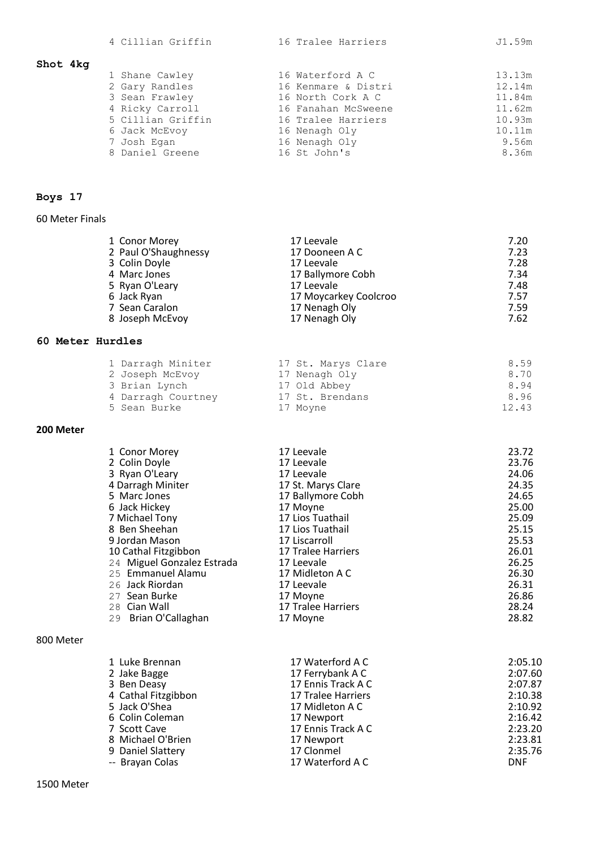| 4 Cillian Griffin |  |
|-------------------|--|
|-------------------|--|

# **Shot 4kg**

| 1 Shane Cawley    | 16 Waterford A C    | 13.13m |
|-------------------|---------------------|--------|
| 2 Gary Randles    | 16 Kenmare & Distri | 12.14m |
| 3 Sean Frawley    | 16 North Cork A C   | 11.84m |
| 4 Ricky Carroll   | 16 Fanahan McSweene | 11.62m |
| 5 Cillian Griffin | 16 Tralee Harriers  | 10.93m |
| 6 Jack McEvoy     | 16 Nenagh Oly       | 10.11m |
| 7 Josh Egan       | 16 Nenagh Oly       | 9.56m  |
| 8 Daniel Greene   | 16 St John's        | 8.36m  |
|                   |                     |        |

# **Boys 17**

## 60 Meter Finals

| 1 Conor Morey        | 17 Leevale            | 7.20 |
|----------------------|-----------------------|------|
| 2 Paul O'Shaughnessy | 17 Dooneen A C        | 7.23 |
| 3 Colin Doyle        | 17 Leevale            | 7.28 |
| 4 Marc Jones         | 17 Ballymore Cobh     | 7.34 |
| 5 Ryan O'Leary       | 17 Leevale            | 7.48 |
| 6 Jack Ryan          | 17 Moycarkey Coolcroo | 7.57 |
| 7 Sean Caralon       | 17 Nenagh Oly         | 7.59 |
| 8 Joseph McEvoy      | 17 Nenagh Oly         | 7.62 |

## **60 Meter Hurdles**

| 1 Darragh Miniter  | 17 St. Marys Clare | 8.59  |
|--------------------|--------------------|-------|
| 2 Joseph McEvoy    | 17 Nenagh Oly      | 8.70  |
| 3 Brian Lynch      | 17 Old Abbey       | 8.94  |
| 4 Darragh Courtney | 17 St. Brendans    | 8.96  |
| 5 Sean Burke       | 17 Moyne           | 12.43 |
|                    |                    |       |

# **200 Meter**

| 1 Conor Morey              | 17 Leevale         | 23.72 |
|----------------------------|--------------------|-------|
| 2 Colin Doyle              | 17 Leevale         | 23.76 |
| 3 Ryan O'Leary             | 17 Leevale         | 24.06 |
| 4 Darragh Miniter          | 17 St. Marys Clare | 24.35 |
| 5 Marc Jones               | 17 Ballymore Cobh  | 24.65 |
| 6 Jack Hickey              | 17 Moyne           | 25.00 |
| 7 Michael Tony             | 17 Lios Tuathail   | 25.09 |
| 8 Ben Sheehan              | 17 Lios Tuathail   | 25.15 |
| 9 Jordan Mason             | 17 Liscarroll      | 25.53 |
| 10 Cathal Fitzgibbon       | 17 Tralee Harriers | 26.01 |
| 24 Miguel Gonzalez Estrada | 17 Leevale         | 26.25 |
| 25 Emmanuel Alamu          | 17 Midleton A C    | 26.30 |
| 26 Jack Riordan            | 17 Leevale         | 26.31 |
| 27 Sean Burke              | 17 Moyne           | 26.86 |
| 28 Cian Wall               | 17 Tralee Harriers | 28.24 |
| 29 Brian O'Callaghan       | 17 Moyne           | 28.82 |
|                            |                    |       |

## 800 Meter

| 1 Luke Brennan      | 17 Waterford A C   | 2:05.10    |
|---------------------|--------------------|------------|
| 2 Jake Bagge        | 17 Ferrybank A C   | 2:07.60    |
| 3 Ben Deasy         | 17 Ennis Track A C | 2:07.87    |
| 4 Cathal Fitzgibbon | 17 Tralee Harriers | 2:10.38    |
| 5 Jack O'Shea       | 17 Midleton A C    | 2:10.92    |
| 6 Colin Coleman     | 17 Newport         | 2:16.42    |
| 7 Scott Cave        | 17 Ennis Track A C | 2:23.20    |
| 8 Michael O'Brien   | 17 Newport         | 2:23.81    |
| 9 Daniel Slattery   | 17 Clonmel         | 2:35.76    |
| -- Brayan Colas     | 17 Waterford A C   | <b>DNF</b> |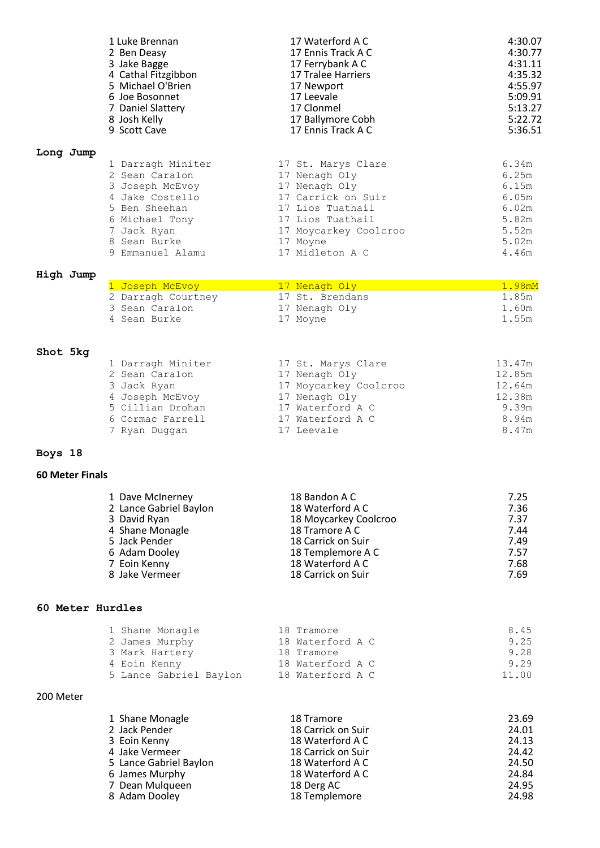|                        | 1 Luke Brennan                                                          | 17 Waterford A C                                              | 4:30.07                 |
|------------------------|-------------------------------------------------------------------------|---------------------------------------------------------------|-------------------------|
|                        | 2 Ben Deasy                                                             | 17 Ennis Track A C                                            | 4:30.77                 |
|                        | 3 Jake Bagge                                                            | 17 Ferrybank A C                                              | 4:31.11                 |
|                        | 4 Cathal Fitzgibbon                                                     | 17 Tralee Harriers                                            | 4:35.32                 |
|                        | 5 Michael O'Brien                                                       | 17 Newport                                                    | 4:55.97                 |
|                        | 6 Joe Bosonnet                                                          | 17 Leevale                                                    | 5:09.91                 |
|                        | 7 Daniel Slattery                                                       | 17 Clonmel                                                    | 5:13.27                 |
|                        | 8 Josh Kelly                                                            | 17 Ballymore Cobh                                             | 5:22.72                 |
|                        | 9 Scott Cave                                                            | 17 Ennis Track A C                                            | 5:36.51                 |
| Long Jump              | 1 Darragh Miniter                                                       | 17 St. Marys Clare                                            | 6.34m                   |
|                        | 2 Sean Caralon                                                          | 17 Nenagh Oly                                                 | 6.25m                   |
|                        | 3 Joseph McEvoy                                                         | 17 Nenagh Oly                                                 | 6.15m                   |
|                        | 4 Jake Costello                                                         | 17 Carrick on Suir                                            | 6.05m                   |
|                        | 5 Ben Sheehan                                                           | 17 Lios Tuathail                                              | 6.02m                   |
|                        | 6 Michael Tony                                                          | 17 Lios Tuathail                                              | 5.82m                   |
|                        | 7 Jack Ryan                                                             | 17 Moycarkey Coolcroo                                         | 5.52m                   |
|                        | 8 Sean Burke                                                            | 17 Moyne                                                      | 5.02m                   |
|                        | 9 Emmanuel Alamu                                                        | 17 Midleton A C                                               | 4.46m                   |
| High Jump              |                                                                         |                                                               | 1.98mM                  |
|                        | 1 Joseph McEvoy<br>2 Darragh Courtney<br>3 Sean Caralon<br>4 Sean Burke | 17 Nenagh Oly<br>17 St. Brendans<br>17 Nenagh Oly<br>17 Moyne | 1.85m<br>1.60m<br>1.55m |
| Shot 5kg               | 1 Darragh Miniter                                                       | 17 St. Marys Clare                                            | 13.47m                  |
|                        | 2 Sean Caralon                                                          | 17 Nenagh Oly                                                 | 12.85m                  |
|                        | 3 Jack Ryan                                                             | 17 Moycarkey Coolcroo                                         | 12.64m                  |
|                        | 4 Joseph McEvoy                                                         | 17 Nenagh Oly                                                 | 12.38m                  |
|                        | 5 Cillian Drohan                                                        | 17 Waterford A C                                              | 9.39m                   |
|                        | 6 Cormac Farrell                                                        | 17 Waterford A C                                              | 8.94m                   |
|                        | 7 Ryan Duggan                                                           | 17 Leevale                                                    | 8.47m                   |
| Boys 18                |                                                                         |                                                               |                         |
| <b>60 Meter Finals</b> |                                                                         |                                                               |                         |
|                        | 1 Dave McInerney                                                        | 18 Bandon A C                                                 | 7.25                    |
|                        | 2 Lance Gabriel Baylon                                                  | 18 Waterford A C                                              | 7.36                    |
|                        | 3 David Ryan                                                            | 18 Moycarkey Coolcroo                                         | 7.37                    |
|                        | 4 Shane Monagle                                                         | 18 Tramore A C                                                | 7.44                    |
|                        | 5 Jack Pender                                                           | 18 Carrick on Suir                                            | 7.49                    |
|                        | 6 Adam Dooley                                                           | 18 Templemore A C                                             | 7.57                    |
|                        | 7 Eoin Kenny                                                            | 18 Waterford A C                                              | 7.68                    |
|                        | 8 Jake Vermeer                                                          | 18 Carrick on Suir                                            | 7.69                    |
| 60 Meter Hurdles       |                                                                         |                                                               |                         |
|                        | 1 Shane Monagle                                                         | 18 Tramore                                                    | 8.45                    |
|                        | 2 James Murphy                                                          | 18 Waterford A C                                              | 9.25                    |
|                        | 3 Mark Hartery                                                          | 18 Tramore                                                    | 9.28                    |
|                        | 4 Eoin Kenny                                                            | 18 Waterford A C                                              | 9.29                    |
|                        | 5 Lance Gabriel Baylon                                                  | 18 Waterford A C                                              | 11.00                   |
| 200 Meter              |                                                                         |                                                               |                         |
|                        | 1 Shane Monagle                                                         | 18 Tramore                                                    | 23.69                   |
|                        | 2 Jack Pender                                                           | 18 Carrick on Suir                                            | 24.01                   |
|                        | 3 Eoin Kenny                                                            | 18 Waterford A C                                              | 24.13                   |
|                        | 4 Jake Vermeer                                                          | 18 Carrick on Suir                                            | 24.42                   |
|                        | 5 Lance Gabriel Baylon                                                  | 18 Waterford A C                                              | 24.50                   |
|                        | 6 James Murphy                                                          | 18 Waterford A C                                              | 24.84                   |
|                        | 7 Dean Mulqueen                                                         | 18 Derg AC                                                    | 24.95                   |

8 Adam Dooley **18 Templemore** 24.98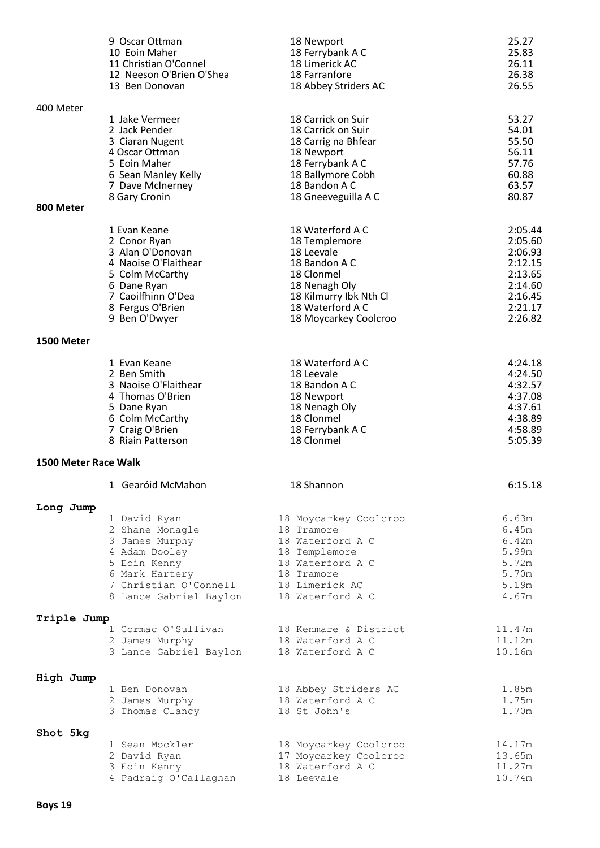|                      | 9 Oscar Ottman                                                                                                                                                                              | 18 Newport                                                                                                                                   | 25.27                                                                           |
|----------------------|---------------------------------------------------------------------------------------------------------------------------------------------------------------------------------------------|----------------------------------------------------------------------------------------------------------------------------------------------|---------------------------------------------------------------------------------|
|                      | 10 Eoin Maher                                                                                                                                                                               | 18 Ferrybank A C                                                                                                                             | 25.83                                                                           |
|                      | 11 Christian O'Connel                                                                                                                                                                       | 18 Limerick AC                                                                                                                               | 26.11                                                                           |
|                      | 12 Neeson O'Brien O'Shea                                                                                                                                                                    | 18 Farranfore                                                                                                                                | 26.38                                                                           |
|                      | 13 Ben Donovan                                                                                                                                                                              | 18 Abbey Striders AC                                                                                                                         | 26.55                                                                           |
| 400 Meter            | 1 Jake Vermeer                                                                                                                                                                              | 18 Carrick on Suir                                                                                                                           | 53.27                                                                           |
|                      | 2 Jack Pender                                                                                                                                                                               | 18 Carrick on Suir                                                                                                                           | 54.01                                                                           |
|                      | 3 Ciaran Nugent                                                                                                                                                                             | 18 Carrig na Bhfear                                                                                                                          | 55.50                                                                           |
|                      | 4 Oscar Ottman                                                                                                                                                                              | 18 Newport                                                                                                                                   | 56.11                                                                           |
|                      | 5 Eoin Maher                                                                                                                                                                                | 18 Ferrybank A C                                                                                                                             | 57.76                                                                           |
|                      | 6 Sean Manley Kelly                                                                                                                                                                         | 18 Ballymore Cobh                                                                                                                            | 60.88                                                                           |
|                      | 7 Dave McInerney                                                                                                                                                                            | 18 Bandon A C                                                                                                                                | 63.57                                                                           |
|                      | 8 Gary Cronin                                                                                                                                                                               | 18 Gneeveguilla A C                                                                                                                          | 80.87                                                                           |
| 800 Meter            | 1 Evan Keane                                                                                                                                                                                | 18 Waterford A C                                                                                                                             | 2:05.44                                                                         |
|                      | 2 Conor Ryan                                                                                                                                                                                | 18 Templemore                                                                                                                                | 2:05.60                                                                         |
|                      | 3 Alan O'Donovan                                                                                                                                                                            | 18 Leevale                                                                                                                                   | 2:06.93                                                                         |
|                      | 4 Naoise O'Flaithear                                                                                                                                                                        | 18 Bandon A C                                                                                                                                | 2:12.15                                                                         |
|                      | 5 Colm McCarthy                                                                                                                                                                             | 18 Clonmel                                                                                                                                   | 2:13.65                                                                         |
|                      | 6 Dane Ryan                                                                                                                                                                                 | 18 Nenagh Oly                                                                                                                                | 2:14.60                                                                         |
|                      | 7 Caoilfhinn O'Dea                                                                                                                                                                          | 18 Kilmurry Ibk Nth Cl                                                                                                                       | 2:16.45                                                                         |
|                      | 8 Fergus O'Brien                                                                                                                                                                            | 18 Waterford A C                                                                                                                             | 2:21.17                                                                         |
|                      | 9 Ben O'Dwyer                                                                                                                                                                               | 18 Moycarkey Coolcroo                                                                                                                        | 2:26.82                                                                         |
| 1500 Meter           | 1 Evan Keane                                                                                                                                                                                | 18 Waterford A C                                                                                                                             | 4:24.18                                                                         |
|                      | 2 Ben Smith                                                                                                                                                                                 | 18 Leevale                                                                                                                                   | 4:24.50                                                                         |
|                      | 3 Naoise O'Flaithear                                                                                                                                                                        | 18 Bandon A C                                                                                                                                | 4:32.57                                                                         |
|                      | 4 Thomas O'Brien                                                                                                                                                                            | 18 Newport                                                                                                                                   | 4:37.08                                                                         |
|                      | 5 Dane Ryan                                                                                                                                                                                 | 18 Nenagh Oly                                                                                                                                | 4:37.61                                                                         |
|                      | 6 Colm McCarthy                                                                                                                                                                             | 18 Clonmel                                                                                                                                   | 4:38.89                                                                         |
|                      | 7 Craig O'Brien                                                                                                                                                                             | 18 Ferrybank A C                                                                                                                             | 4:58.89                                                                         |
|                      | 8 Riain Patterson                                                                                                                                                                           | 18 Clonmel                                                                                                                                   | 5:05.39                                                                         |
| 1500 Meter Race Walk |                                                                                                                                                                                             |                                                                                                                                              |                                                                                 |
| Long Jump            | 1 Gearóid McMahon<br>1 David Ryan<br>2 Shane Monagle<br>3 James Murphy<br>4 Adam Dooley<br>5 Eoin Kenny<br>6 Mark Hartery<br>7 Christian O'Connell 18 Limerick AC<br>8 Lance Gabriel Baylon | 18 Shannon<br>18 Moycarkey Coolcroo<br>18 Tramore<br>18 Waterford A C<br>18 Templemore<br>18 Waterford A C<br>18 Tramore<br>18 Waterford A C | 6:15.18<br>6.63m<br>6.45m<br>6.42m<br>5.99m<br>5.72m<br>5.70m<br>5.19m<br>4.67m |
| Triple Jump          | 1 Cormac O'Sullivan                                                                                                                                                                         | 18 Kenmare & District                                                                                                                        | 11.47m                                                                          |
|                      | 2 James Murphy                                                                                                                                                                              | 18 Waterford A C                                                                                                                             | 11.12m                                                                          |
|                      | 3 Lance Gabriel Baylon                                                                                                                                                                      | 18 Waterford A C                                                                                                                             | 10.16m                                                                          |
| High Jump            | 1 Ben Donovan                                                                                                                                                                               | 18 Abbey Striders AC                                                                                                                         | 1.85m                                                                           |
|                      | 2 James Murphy                                                                                                                                                                              | 18 Waterford A C                                                                                                                             | 1.75m                                                                           |
|                      | 3 Thomas Clancy                                                                                                                                                                             | 18 St John's                                                                                                                                 | 1.70m                                                                           |
| Shot 5kg             | 1 Sean Mockler                                                                                                                                                                              | 18 Moycarkey Coolcroo                                                                                                                        | 14.17m                                                                          |
|                      | 2 David Ryan                                                                                                                                                                                | 17 Moycarkey Coolcroo                                                                                                                        | 13.65m                                                                          |
|                      | 3 Eoin Kenny                                                                                                                                                                                | 18 Waterford A C                                                                                                                             | 11.27m                                                                          |
|                      | 4 Padraig O'Callaghan                                                                                                                                                                       | 18 Leevale                                                                                                                                   | 10.74m                                                                          |